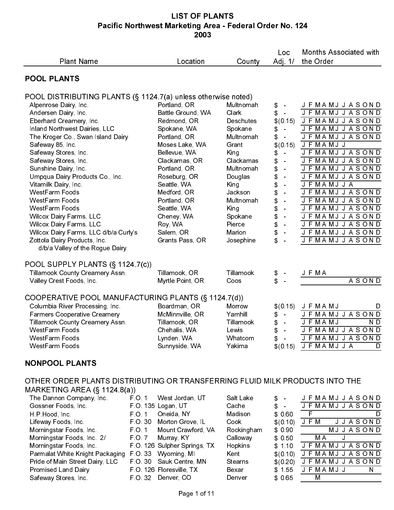| <b>Plant Name</b>                                                                      |                 | Location                                        | County               | Loc<br>Adj 1/                                            | <b>Months Associated with</b><br>the Order         |
|----------------------------------------------------------------------------------------|-----------------|-------------------------------------------------|----------------------|----------------------------------------------------------|----------------------------------------------------|
| <b>POOL PLANTS</b>                                                                     |                 |                                                 |                      |                                                          |                                                    |
| POOL DISTRIBUTING PLANTS (§ 1124.7(a) unless otherwise noted)                          |                 |                                                 |                      |                                                          |                                                    |
| Alpenrose Dairy, Inc.<br>Andersen Dairy, Inc.                                          |                 | Portland, OR<br>Battle Ground, WA               | Multnomah<br>Clark   | \$<br>$\sim$<br>\$<br>$\sim$                             | J F MA M J J A S O N D<br>J F MA M J J A S O N D   |
| Eberhard Creamery, Inc.                                                                |                 | Redmond, OR                                     | Deschutes            | \$(0.15)                                                 | <b>JFMAMJJASOND</b>                                |
| Inland Northwest Dairies, LLC<br>The Kroger Co., Swan Island Dairy                     |                 | Spokane, WA<br>Portland, OR                     | Spokane<br>Multnomah | \$<br>$\frac{1}{\sqrt{2}}$<br>\$<br>$\frac{1}{\sqrt{2}}$ | <b>JFMAMJJASOND</b><br><b>JFMAMJJASOND</b>         |
| Safeway 85, Inc.                                                                       |                 | Moses Lake, WA                                  | Grant                | \$(0.15)                                                 | J F MAMJ J                                         |
| Safeway Stores, Inc.<br>Safeway Stores, Inc.                                           |                 | Bellevue, WA<br>Clackamas, OR                   | King<br>Clackamas    | \$<br>$\sim$<br>\$<br>$\sim$                             | J F MA MJ J A S O N D<br>J F MA M J J A S O N D    |
| Sunshine Dairy, Inc.<br>Umpqua Dairy Products Co., Inc.                                |                 | Portland, OR<br>Roseburg, OR                    | Multnomah<br>Douglas | \$<br>$\sim$<br>\$<br>$\sim$                             | J F MA M J J A S O N D<br><b>JFMAMJJASOND</b>      |
| Vitamilk Dairy, Inc.                                                                   |                 | Seattle, WA                                     | King                 | \$<br>$\sim$                                             | J F MAMJ J A                                       |
| WestFarm Foods<br>WestFarm Foods                                                       |                 | Medford, OR<br>Portland, OR                     | Jackson<br>Multnomah | \$<br>$\sim$<br>\$<br>$\sim$                             | J F MA M J J A S O N D<br>J F MA M J J A S O N D   |
| WestFarm Foods<br><b>Wilcox Dairy Farms, LLC</b>                                       |                 | Seattle, WA<br>Cheney, WA                       | King<br>Spokane      | \$<br>$\bar{\omega}$<br>$\bar{\omega}$                   | J F MA M J J A S O N D<br>J F MA M J J A S O N D   |
| <b>Wilcox Dairy Farms, LLC</b>                                                         |                 | Roy, WA                                         | Pierce               | \$<br>\$<br>$\bar{\phantom{a}}$                          | J F MA M J J A S O N D                             |
| Wilcox Dairy Farms, LLC d/b/a Curly's<br>Zottola Dairy Products, Inc.                  |                 | Salem, OR<br>Grants Pass, OR                    | Marion<br>Josephine  | \$<br>$\frac{1}{\sqrt{2}}$<br>\$<br>$\sim$               | J F MA M J J A S O N D<br>J F MA M J J A S O N D   |
| d/b/a Valley of the Rogue Dairy                                                        |                 |                                                 |                      |                                                          |                                                    |
| POOL SUPPLY PLANTS (§ 1124.7(c))<br>Tillamook County Creamery Assn.                    |                 | Tillamook, OR                                   | Tillamook            | \$                                                       | J F MA                                             |
| Valley Crest Foods, Inc.                                                               |                 | Myrtle Point, OR                                | Coos                 | \$                                                       | <b>ASOND</b>                                       |
| COOPERATIVE POOL MANUFACTURING PLANTS (§ 1124.7(d))<br>Columbia River Processing, Inc. |                 | Boardman, OR                                    | Morrow               | \$(0.15)                                                 | J F MA M J<br>D                                    |
| <b>Farmers Cooperative Creamery</b>                                                    |                 | McMinnville, OR                                 | Yamhill              | \$<br>$\sim$                                             | J F MA MJ J A SOND                                 |
| Tillamook County Creamery Assn.<br>WestFarm Foods                                      |                 | Tillamook, OR<br>Chehalis, WA                   | Tillamook<br>Lewis   | \$<br>$\sim$<br>\$<br>÷,                                 | J F MA MJ<br>ND<br>J F MA M J J A S O N D          |
| WestFarm Foods<br>WestFarm Foods                                                       |                 | Lynden, WA<br>Sunnyside, WA                     | Whatcom<br>Yakima    | \$                                                       | J F MA MJ J A S O N D<br>$$(0.15)$ J F MAMJJA<br>D |
| <b>NONPOOL PLANTS</b>                                                                  |                 |                                                 |                      |                                                          |                                                    |
| OTHER ORDER PLANTS DISTRIBUTING OR TRANSFERRING FLUID MILK PRODUCTS INTO THE           |                 |                                                 |                      |                                                          |                                                    |
| MARKETING AREA $(\S$ 1124.8(a))                                                        |                 |                                                 |                      |                                                          |                                                    |
| The Dannon Company, Inc.<br>Gossner Foods, Inc.                                        | FO <sub>1</sub> | West Jordan, UT<br>FO. 135 Logan, UT            | Salt Lake<br>Cache   | \$<br>\$<br>$\sim$                                       | J F MA M J J A S O N D<br>J F MA M J J A S O N D   |
| H.P. Hood, Inc.                                                                        | FO 1<br>F O 30  | Oneida, NY                                      | Madison<br>Cook      | \$ 0.60                                                  | $\overline{F}$<br>D                                |
| Lifeway Foods, Inc.<br>Morningstar Foods, Inc.                                         | F O 1           | Morton Grove, IL<br>Mount Crawford, VA          | Rockingham           | \$(0.10)<br>\$0.90                                       | JFM<br><b>JJASOND</b><br>MJJASOND                  |
| Morningstar Foods, Inc. 2/<br>Morningstar Foods, Inc.                                  | FO 7            | Murray, KY<br>FO 126 Sulpher Springs, TX        | Calloway<br>Hopkins  | \$0.50<br>\$110                                          | J<br>МA<br>J F MA M J J A S O N D                  |
| Parmalat White Knight Packaging F.O. 33 Wyoming, MI                                    |                 |                                                 | Kent                 | \$(0.10)                                                 | J F MA MJ J A S O N D                              |
| Pride of Main Street Dairy, LLC<br>Promised Land Dairy                                 |                 | FO 30 Sauk Centre, MN<br>FO 126 Floresville, TX | Stearns<br>Bexar     | \$(0, 20)<br>\$155                                       | J F MA MJ J A S O N D<br>J F MA M J J<br>N.        |
| Safeway Stores, Inc.                                                                   |                 | FO 32 Denver, CO                                | Denver               | \$0.65                                                   | M                                                  |
|                                                                                        |                 |                                                 |                      |                                                          |                                                    |
|                                                                                        |                 |                                                 |                      |                                                          |                                                    |
|                                                                                        |                 |                                                 |                      |                                                          |                                                    |
|                                                                                        |                 |                                                 |                      |                                                          |                                                    |
|                                                                                        |                 |                                                 |                      |                                                          |                                                    |
|                                                                                        |                 |                                                 |                      |                                                          |                                                    |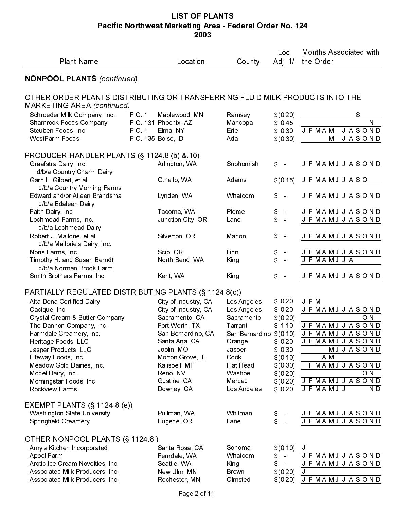| <b>Plant Name</b>                                                                                                                                                                                                                                                                                                                               |                           | Location                                                                                                                                                                                              | County                                                                                                                                      | Loc<br>Adj. $1/$                                                                                            | <b>Months Associated with</b><br>the Order                                                                                                                                                          |
|-------------------------------------------------------------------------------------------------------------------------------------------------------------------------------------------------------------------------------------------------------------------------------------------------------------------------------------------------|---------------------------|-------------------------------------------------------------------------------------------------------------------------------------------------------------------------------------------------------|---------------------------------------------------------------------------------------------------------------------------------------------|-------------------------------------------------------------------------------------------------------------|-----------------------------------------------------------------------------------------------------------------------------------------------------------------------------------------------------|
| <b>NONPOOL PLANTS (continued)</b>                                                                                                                                                                                                                                                                                                               |                           |                                                                                                                                                                                                       |                                                                                                                                             |                                                                                                             |                                                                                                                                                                                                     |
| OTHER ORDER PLANTS DISTRIBUTING OR TRANSFERRING FLUID MILK PRODUCTS INTO THE                                                                                                                                                                                                                                                                    |                           |                                                                                                                                                                                                       |                                                                                                                                             |                                                                                                             |                                                                                                                                                                                                     |
| <b>MARKETING AREA (continued)</b><br>Schroeder Milk Company, Inc.                                                                                                                                                                                                                                                                               | FO 1                      | Maplewood, MN                                                                                                                                                                                         | Ramsey                                                                                                                                      | \$(0.20)                                                                                                    | S                                                                                                                                                                                                   |
| <b>Shamrock Foods Company</b><br>Steuben Foods, Inc.<br>WestFarm Foods                                                                                                                                                                                                                                                                          | FO 1<br>F O 135 Boise, ID | F O 131 Phoenix, AZ<br>Elma, NY                                                                                                                                                                       | Maricopa<br>Erie<br>Ada                                                                                                                     | \$045<br>\$ 0.30<br>\$(0.30)                                                                                | N<br><b>JASOND</b><br>J F MA M<br><b>JASOND</b><br>$\overline{M}$                                                                                                                                   |
| PRODUCER-HANDLER PLANTS (§ 1124 8 (b) & 10)<br>Graafstra Dairy, Inc.                                                                                                                                                                                                                                                                            |                           | Arlington, WA                                                                                                                                                                                         | Snohomish                                                                                                                                   | $\frac{2}{3}$<br>$\sim$                                                                                     | J F MA M J J A S O N D                                                                                                                                                                              |
| d/b/a Country Charm Dairy<br>Garn L. Gilbert, et al.                                                                                                                                                                                                                                                                                            |                           | Othello, WA                                                                                                                                                                                           | Adams                                                                                                                                       | \$(0.15)                                                                                                    | J F MAMJ J A S O                                                                                                                                                                                    |
| d/b/a Country Morning Farms<br>Edward and/or Aileen Brandsma<br>d/b/a Edaleen Dairy                                                                                                                                                                                                                                                             |                           | Lynden, WA                                                                                                                                                                                            | Whatcom                                                                                                                                     | $\mathfrak{P}$<br>$\sim$                                                                                    | J F MA M J J A S O N D                                                                                                                                                                              |
| Faith Dairy, Inc.<br>Lochmead Farms, Inc.<br>d/b/a Lochmead Dairy                                                                                                                                                                                                                                                                               |                           | Tacoma, WA<br>Junction City, OR                                                                                                                                                                       | Pierce<br>Lane                                                                                                                              | \$<br>$\blacksquare$<br>\$<br>$\equiv$                                                                      | JFMAMJJASOND<br><b>JFMAMJJASOND</b>                                                                                                                                                                 |
| Robert J. Mallorie, et al.<br>d/b/a Mallorie's Dairy, Inc.                                                                                                                                                                                                                                                                                      |                           | Silverton, OR                                                                                                                                                                                         | Marion                                                                                                                                      | \$<br>$\sim$                                                                                                | J F MA M J J A S O N D                                                                                                                                                                              |
| Noris Farms, Inc.<br>Timothy H. and Susan Berndt<br>d/b/a Norman Brook Farm                                                                                                                                                                                                                                                                     |                           | Scio, OR<br>North Bend, WA                                                                                                                                                                            | Linn<br>King                                                                                                                                | \$<br>$\blacksquare$<br>\$<br>$\ddot{\phantom{1}}$                                                          | J F MA M J J A S O N D<br><b>JFMAMJJA</b>                                                                                                                                                           |
| Smith Brothers Farms, Inc.                                                                                                                                                                                                                                                                                                                      |                           | Kent, WA                                                                                                                                                                                              | King                                                                                                                                        | \$<br>$\rightarrow$                                                                                         | J F MA M J J A S O N D                                                                                                                                                                              |
| PARTIALLY REGULATED DISTRIBUTING PLANTS (§ 1124.8(c))<br>Alta Dena Certified Dairy<br>Cacique, Inc.<br>Crystal Cream & Butter Company<br>The Dannon Company, Inc.<br>Farmdale Creamery, Inc.<br>Heritage Foods, LLC<br>Jasper Products, LLC<br>Lifeway Foods, Inc.<br>Meadow Gold Dairies, Inc.<br>Model Dairy, Inc.<br>Morningstar Foods, Inc. |                           | City of Industry, CA<br>City of Industry, CA<br>Sacramento, CA<br>Fort Worth, TX<br>San Bernardino, CA<br>Santa Ana, CA<br>Joplin, MO<br>Morton Grove, IL<br>Kalispell, MT<br>Reno, NV<br>Gustine, CA | Los Angeles<br>Los Angeles<br>Sacramento<br>Tarrant<br>San Bernardino \$(0.10)<br>Orange<br>Jasper<br>Cook<br>Flat Head<br>Washoe<br>Merced | \$0.20<br>\$ 0.20<br>\$(0.20)<br>\$110<br>\$0,20<br>\$ 0.30<br>\$(0.10)<br>\$(0.30)<br>\$(0.20)<br>\$(0.20) | J F M<br><b>JFMAMJJASOND</b><br>O N<br><b>JFMAMJJASOND</b><br>J F MA M J J A S O N D<br>J F MA MJ J A S O N D<br>MJJASOND<br>A M<br><b>FMAMJJASOND</b><br>$\overline{ON}$<br>J F MA M J J A S O N D |
| Rockview Farms<br>EXEMPT PLANTS $(\S 1124.8$ (e))                                                                                                                                                                                                                                                                                               |                           | Downey, CA                                                                                                                                                                                            | Los Angeles                                                                                                                                 | \$0.20                                                                                                      | J F MA M J J<br>ND.                                                                                                                                                                                 |
| <b>Washington State University</b><br>Springfield Creamery                                                                                                                                                                                                                                                                                      |                           | Pullman, WA<br>Eugene, OR                                                                                                                                                                             | Whitman<br>Lane                                                                                                                             | \$<br>\$<br>$\sim$                                                                                          | J F MA M J J A S O N D<br>J F MA M J J A S O N D                                                                                                                                                    |
| OTHER NONPOOL PLANTS (§ 1124.8)<br>Amy's Kitchen Incorporated<br>Appel Farm<br>Arctic Ice Cream Novelties, Inc.<br>Associated Milk Producers, Inc.<br>Associated Milk Producers, Inc.                                                                                                                                                           |                           | Santa Rosa, CA<br>Ferndale, WA<br>Seattle, WA<br>New Ulm, MN<br>Rochester, MN<br>Page 2 of 11                                                                                                         | Sonoma<br>Whatcom<br>King<br><b>Brown</b><br>Olmsted                                                                                        | \$(0.10)<br>\$<br>$\sim$<br>\$<br>$\sim$<br>\$(0.20)<br>\$(0.20)                                            | J<br>J F MA MJ J A SOND<br><b>JFMAMJJASOND</b><br>J<br><b>JFMAMJJASOND</b>                                                                                                                          |
|                                                                                                                                                                                                                                                                                                                                                 |                           |                                                                                                                                                                                                       |                                                                                                                                             |                                                                                                             |                                                                                                                                                                                                     |
|                                                                                                                                                                                                                                                                                                                                                 |                           |                                                                                                                                                                                                       |                                                                                                                                             |                                                                                                             |                                                                                                                                                                                                     |
|                                                                                                                                                                                                                                                                                                                                                 |                           |                                                                                                                                                                                                       |                                                                                                                                             |                                                                                                             |                                                                                                                                                                                                     |
|                                                                                                                                                                                                                                                                                                                                                 |                           |                                                                                                                                                                                                       |                                                                                                                                             |                                                                                                             |                                                                                                                                                                                                     |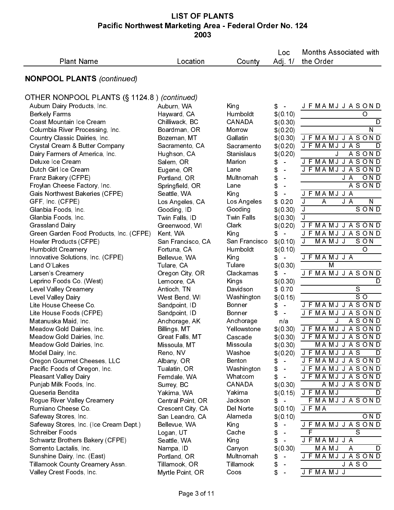| <b>NONPOOL PLANTS (continued)</b><br>OTHER NONPOOL PLANTS (§ 1124.8) (continued)<br>Auburn Dairy Products, Inc.<br>Auburn, WA<br><b>Berkely Farms</b><br>Hayward, CA<br>Coast Mountain Ice Cream<br>Chilliwack, BC<br>Columbia River Processing, Inc.<br>Boardman, OR<br>Country Classic Dairies, Inc.<br>Bozeman, MT<br>Crystal Cream & Butter Company<br>Sacramento, CA<br>Dairy Farmers of America, Inc.<br>Hughson, CA<br>Deluxe Ice Cream<br>Salem, OR<br>Dutch Girl Ice Cream<br>Eugene, OR<br>Franz Bakery (CFPE)<br>Portland, OR<br>Froylan Cheese Factory, Inc.<br>Springfield, OR<br>Gais Northwest Bakeries (CFPE)<br>Seattle, WA<br>GFF, Inc. (CFPE)<br>Los Angeles, CA<br>Gooding, ID<br>Glanbia Foods, Inc.<br>Glanbia Foods, Inc.<br>Twin Falls, ID | King<br>Humboldt<br><b>CANADA</b><br>Morrow<br>Gallatin<br>Sacramento<br>Stanislaus<br>Marion<br>Lane<br>Multnomah<br>Lane<br>King | \$<br>\$(0.10)<br>\$(0.30)<br>\$(0.20)<br>\$(0.30)<br>\$(0.20)<br>\$(0.20)<br>\$<br>$\sim$<br>\$<br>$\frac{1}{\sqrt{2}}$<br>\$<br>$\equiv$<br>\$<br>$\blacksquare$ | J F MA M J J A S O N D<br>O<br>D<br>N<br><b>JFMAMJJASOND</b><br>J F MA M J J A S<br>D<br><b>ASOND</b><br>J<br>J F MA M J J A S O N D<br>J F MA M J J A S O N D<br>$\overline{O}$ N D<br>J A |
|--------------------------------------------------------------------------------------------------------------------------------------------------------------------------------------------------------------------------------------------------------------------------------------------------------------------------------------------------------------------------------------------------------------------------------------------------------------------------------------------------------------------------------------------------------------------------------------------------------------------------------------------------------------------------------------------------------------------------------------------------------------------|------------------------------------------------------------------------------------------------------------------------------------|--------------------------------------------------------------------------------------------------------------------------------------------------------------------|---------------------------------------------------------------------------------------------------------------------------------------------------------------------------------------------|
|                                                                                                                                                                                                                                                                                                                                                                                                                                                                                                                                                                                                                                                                                                                                                                    |                                                                                                                                    |                                                                                                                                                                    |                                                                                                                                                                                             |
|                                                                                                                                                                                                                                                                                                                                                                                                                                                                                                                                                                                                                                                                                                                                                                    |                                                                                                                                    |                                                                                                                                                                    |                                                                                                                                                                                             |
|                                                                                                                                                                                                                                                                                                                                                                                                                                                                                                                                                                                                                                                                                                                                                                    |                                                                                                                                    |                                                                                                                                                                    |                                                                                                                                                                                             |
|                                                                                                                                                                                                                                                                                                                                                                                                                                                                                                                                                                                                                                                                                                                                                                    |                                                                                                                                    |                                                                                                                                                                    |                                                                                                                                                                                             |
|                                                                                                                                                                                                                                                                                                                                                                                                                                                                                                                                                                                                                                                                                                                                                                    |                                                                                                                                    |                                                                                                                                                                    |                                                                                                                                                                                             |
|                                                                                                                                                                                                                                                                                                                                                                                                                                                                                                                                                                                                                                                                                                                                                                    |                                                                                                                                    |                                                                                                                                                                    |                                                                                                                                                                                             |
|                                                                                                                                                                                                                                                                                                                                                                                                                                                                                                                                                                                                                                                                                                                                                                    |                                                                                                                                    |                                                                                                                                                                    |                                                                                                                                                                                             |
|                                                                                                                                                                                                                                                                                                                                                                                                                                                                                                                                                                                                                                                                                                                                                                    |                                                                                                                                    |                                                                                                                                                                    |                                                                                                                                                                                             |
|                                                                                                                                                                                                                                                                                                                                                                                                                                                                                                                                                                                                                                                                                                                                                                    |                                                                                                                                    |                                                                                                                                                                    |                                                                                                                                                                                             |
|                                                                                                                                                                                                                                                                                                                                                                                                                                                                                                                                                                                                                                                                                                                                                                    |                                                                                                                                    |                                                                                                                                                                    |                                                                                                                                                                                             |
|                                                                                                                                                                                                                                                                                                                                                                                                                                                                                                                                                                                                                                                                                                                                                                    |                                                                                                                                    |                                                                                                                                                                    |                                                                                                                                                                                             |
|                                                                                                                                                                                                                                                                                                                                                                                                                                                                                                                                                                                                                                                                                                                                                                    |                                                                                                                                    |                                                                                                                                                                    |                                                                                                                                                                                             |
|                                                                                                                                                                                                                                                                                                                                                                                                                                                                                                                                                                                                                                                                                                                                                                    |                                                                                                                                    |                                                                                                                                                                    | <b>ASOND</b><br>J F MA M J J A                                                                                                                                                              |
|                                                                                                                                                                                                                                                                                                                                                                                                                                                                                                                                                                                                                                                                                                                                                                    |                                                                                                                                    | \$<br>$\bar{\phantom{a}}$<br>\$0,20                                                                                                                                | J<br>J A<br>$\mathsf{N}$<br>A                                                                                                                                                               |
|                                                                                                                                                                                                                                                                                                                                                                                                                                                                                                                                                                                                                                                                                                                                                                    | Los Angeles<br>Gooding                                                                                                             | \$(0.30)                                                                                                                                                           | SOND<br>J                                                                                                                                                                                   |
|                                                                                                                                                                                                                                                                                                                                                                                                                                                                                                                                                                                                                                                                                                                                                                    | <b>Twin Falls</b>                                                                                                                  | \$(0.30)                                                                                                                                                           | $\overline{\mathsf{J}}$                                                                                                                                                                     |
| Grassland Dairy<br>Greenwood, WI                                                                                                                                                                                                                                                                                                                                                                                                                                                                                                                                                                                                                                                                                                                                   | Clark                                                                                                                              | \$(0.20)                                                                                                                                                           | <b>JFMAMJJASOND</b>                                                                                                                                                                         |
| Green Garden Food Products, Inc. (CFPE)<br>Kent, WA                                                                                                                                                                                                                                                                                                                                                                                                                                                                                                                                                                                                                                                                                                                | King                                                                                                                               | \$<br>$\sim$                                                                                                                                                       | <b>JFMAMJJASOND</b>                                                                                                                                                                         |
| Howler Products (CFPE)<br>San Francisco, CA                                                                                                                                                                                                                                                                                                                                                                                                                                                                                                                                                                                                                                                                                                                        | San Francisco                                                                                                                      | \$(0.10)                                                                                                                                                           | $\mathsf{J}$<br>MAMJJ<br>SON                                                                                                                                                                |
| <b>Humboldt Creamery</b><br>Fortuna, CA                                                                                                                                                                                                                                                                                                                                                                                                                                                                                                                                                                                                                                                                                                                            | Humboldt                                                                                                                           | \$(0.10)                                                                                                                                                           | O                                                                                                                                                                                           |
| Innovative Solutions, Inc. (CFPE)<br>Bellevue, WA                                                                                                                                                                                                                                                                                                                                                                                                                                                                                                                                                                                                                                                                                                                  | King                                                                                                                               | \$<br>$\overline{\phantom{a}}$                                                                                                                                     | J F MAMJ J A                                                                                                                                                                                |
| Land O'Lakes<br>Tulare, CA                                                                                                                                                                                                                                                                                                                                                                                                                                                                                                                                                                                                                                                                                                                                         | Tulare                                                                                                                             | \$(0.30)                                                                                                                                                           | M                                                                                                                                                                                           |
| Larsen's Creamery<br>Oregon City, OR                                                                                                                                                                                                                                                                                                                                                                                                                                                                                                                                                                                                                                                                                                                               | Clackamas                                                                                                                          | \$.<br>$\sim$                                                                                                                                                      | J F MA M J J A S O N D                                                                                                                                                                      |
| Leprino Foods Co. (West)<br>Lemoore, CA                                                                                                                                                                                                                                                                                                                                                                                                                                                                                                                                                                                                                                                                                                                            | Kings                                                                                                                              | \$(0.30)                                                                                                                                                           | D                                                                                                                                                                                           |
| Level Valley Creamery<br>Antioch, TN                                                                                                                                                                                                                                                                                                                                                                                                                                                                                                                                                                                                                                                                                                                               | Davidson                                                                                                                           | \$ 0.70                                                                                                                                                            | S                                                                                                                                                                                           |
| Level Valley Dairy<br>West Bend, WI                                                                                                                                                                                                                                                                                                                                                                                                                                                                                                                                                                                                                                                                                                                                | Washington                                                                                                                         | \$(0.15)                                                                                                                                                           | SO                                                                                                                                                                                          |
| Lite House Cheese Co.<br>Sandpoint, ID                                                                                                                                                                                                                                                                                                                                                                                                                                                                                                                                                                                                                                                                                                                             | Bonner                                                                                                                             | \$<br>$\bar{\phantom{a}}$                                                                                                                                          | J F MA MJ J A S ON D                                                                                                                                                                        |
| Lite House Foods (CFPE)<br>Sandpoint, ID                                                                                                                                                                                                                                                                                                                                                                                                                                                                                                                                                                                                                                                                                                                           | <b>Bonner</b>                                                                                                                      | \$<br>$\bar{\phantom{a}}$                                                                                                                                          | J F MA MJ J A SOND                                                                                                                                                                          |
| Anchorage, AK<br>Matanuska Maid, Inc.                                                                                                                                                                                                                                                                                                                                                                                                                                                                                                                                                                                                                                                                                                                              | Anchorage                                                                                                                          | n/a                                                                                                                                                                | J<br>ASOND                                                                                                                                                                                  |
| Meadow Gold Dairies, Inc.<br>Billings, MT                                                                                                                                                                                                                                                                                                                                                                                                                                                                                                                                                                                                                                                                                                                          | Yellowstone                                                                                                                        | \$(0,30)                                                                                                                                                           | J F MA MJ J A SOND                                                                                                                                                                          |
| Meadow Gold Dairies, Inc.<br>Great Falls, MT<br>Meadow Gold Dairies, Inc.<br>Missoula, MT                                                                                                                                                                                                                                                                                                                                                                                                                                                                                                                                                                                                                                                                          | Cascade<br>Missoula                                                                                                                |                                                                                                                                                                    | $$(0.30)$ J F $\overline{MAMJJASOND}$<br>MAMJJASOND                                                                                                                                         |
| Reno, NV<br>Model Dairy, Inc.                                                                                                                                                                                                                                                                                                                                                                                                                                                                                                                                                                                                                                                                                                                                      | Washoe                                                                                                                             | \$(0.30)<br>\$(0, 20)                                                                                                                                              | <b>JFMAMJJAS</b><br>D                                                                                                                                                                       |
| Oregon Gourmet Cheeses, LLC<br>Albany, OR                                                                                                                                                                                                                                                                                                                                                                                                                                                                                                                                                                                                                                                                                                                          | Benton                                                                                                                             | \$<br>$\sim$                                                                                                                                                       | J F MA M J J A S O N D                                                                                                                                                                      |
| Pacific Foods of Oregon, Inc.<br>Tualatin, OR                                                                                                                                                                                                                                                                                                                                                                                                                                                                                                                                                                                                                                                                                                                      | Washington                                                                                                                         | \$<br>$\sim$                                                                                                                                                       | J F MA M J J A S O N D                                                                                                                                                                      |
| <b>Pleasant Valley Dairy</b><br>Ferndale, WA                                                                                                                                                                                                                                                                                                                                                                                                                                                                                                                                                                                                                                                                                                                       | Whatcom                                                                                                                            | \$<br>$\overline{\phantom{a}}$                                                                                                                                     | J F MA M J J A S O N D                                                                                                                                                                      |
| Punjab Milk Foods, Inc.<br>Surrey, BC                                                                                                                                                                                                                                                                                                                                                                                                                                                                                                                                                                                                                                                                                                                              | CANADA                                                                                                                             | \$(0.30)                                                                                                                                                           | AMJJASOND                                                                                                                                                                                   |
| Queseria Bendita<br>Yakima, WA                                                                                                                                                                                                                                                                                                                                                                                                                                                                                                                                                                                                                                                                                                                                     | Yakima                                                                                                                             | \$(0.15)                                                                                                                                                           | J F MA M J<br>D                                                                                                                                                                             |
| Rogue River Valley Creamery<br>Central Point, OR                                                                                                                                                                                                                                                                                                                                                                                                                                                                                                                                                                                                                                                                                                                   | Jackson                                                                                                                            | S.                                                                                                                                                                 | F MAMJ J A SOND                                                                                                                                                                             |
| Rumiano Cheese Co.<br>Crescent City, CA                                                                                                                                                                                                                                                                                                                                                                                                                                                                                                                                                                                                                                                                                                                            | Del Norte                                                                                                                          | \$(0.10)                                                                                                                                                           | J F MA                                                                                                                                                                                      |
| Safeway Stores, Inc.<br>San Leandro, CA                                                                                                                                                                                                                                                                                                                                                                                                                                                                                                                                                                                                                                                                                                                            | Alameda                                                                                                                            | \$(0.10)                                                                                                                                                           | $\overline{OND}$                                                                                                                                                                            |
| Safeway Stores, Inc. (Ice Cream Dept.)<br>Bellevue, WA                                                                                                                                                                                                                                                                                                                                                                                                                                                                                                                                                                                                                                                                                                             | <b>King</b>                                                                                                                        | \$<br>$\equiv$                                                                                                                                                     | J F MA MJ J A SOND                                                                                                                                                                          |
| Schreiber Foods<br>Logan, UT                                                                                                                                                                                                                                                                                                                                                                                                                                                                                                                                                                                                                                                                                                                                       | Cache                                                                                                                              | \$                                                                                                                                                                 | F<br>S                                                                                                                                                                                      |
| Schwartz Brothers Bakery (CFPE)<br>Seattle, WA                                                                                                                                                                                                                                                                                                                                                                                                                                                                                                                                                                                                                                                                                                                     | King                                                                                                                               | \$<br>$\equiv$                                                                                                                                                     | J F MA M J J A                                                                                                                                                                              |
| Sorrento Lactalis, Inc.<br>Nampa, ID                                                                                                                                                                                                                                                                                                                                                                                                                                                                                                                                                                                                                                                                                                                               | Canyon                                                                                                                             | \$(0.30)                                                                                                                                                           | MAMJ<br>D<br>A                                                                                                                                                                              |
| Sunshine Dairy, Inc. (East)<br>Portland, OR                                                                                                                                                                                                                                                                                                                                                                                                                                                                                                                                                                                                                                                                                                                        | Multnomah                                                                                                                          | \$<br>$\sim$                                                                                                                                                       | J F MA M J J A S O N D                                                                                                                                                                      |
| Tillamook County Creamery Assn.<br>Tillamook, OR                                                                                                                                                                                                                                                                                                                                                                                                                                                                                                                                                                                                                                                                                                                   | Tillamook                                                                                                                          | \$                                                                                                                                                                 | <b>JASO</b>                                                                                                                                                                                 |
| Valley Crest Foods, Inc.<br>Myrtle Point, OR                                                                                                                                                                                                                                                                                                                                                                                                                                                                                                                                                                                                                                                                                                                       | Coos                                                                                                                               | \$<br>$\ddot{\phantom{1}}$                                                                                                                                         | J F MA M J J                                                                                                                                                                                |
|                                                                                                                                                                                                                                                                                                                                                                                                                                                                                                                                                                                                                                                                                                                                                                    | Page 3 of 11                                                                                                                       |                                                                                                                                                                    |                                                                                                                                                                                             |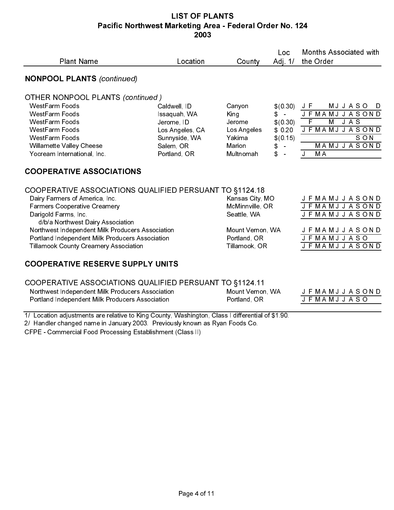| <b>Plant Name</b>                                                                                                                                                                                                                                                                                                                                    | Location                                                                                                    | County                                                                                                 | Loc<br>Adj 1/                                                                                | <b>Months Associated with</b><br>the Order                                                                                                                   |
|------------------------------------------------------------------------------------------------------------------------------------------------------------------------------------------------------------------------------------------------------------------------------------------------------------------------------------------------------|-------------------------------------------------------------------------------------------------------------|--------------------------------------------------------------------------------------------------------|----------------------------------------------------------------------------------------------|--------------------------------------------------------------------------------------------------------------------------------------------------------------|
| <b>NONPOOL PLANTS (continued)</b>                                                                                                                                                                                                                                                                                                                    |                                                                                                             |                                                                                                        |                                                                                              |                                                                                                                                                              |
| <b>OTHER NONPOOL PLANTS (continued)</b><br>WestFarm Foods<br>WestFarm Foods<br>WestFarm Foods<br>WestFarm Foods<br>WestFarm Foods<br><b>Willamette Valley Cheese</b><br>Yocream International, Inc.                                                                                                                                                  | Caldwell, ID<br>Issaquah, WA<br>Jerome, ID<br>Los Angeles, CA<br>Sunnyside, WA<br>Salem, OR<br>Portland, OR | Canyon<br>King<br>Jerome<br>Los Angeles<br>Yakima<br>Marion<br>Multnomah                               | \$(0.30)<br>$\mathsf{S}$ –<br>\$(0.30)<br>\$0.20<br>\$(0.15)<br>\$<br>$\sim$<br>\$<br>$\sim$ | J F<br><b>MJJASO</b><br>D<br><b>JFMAMJJASOND</b><br>$\overline{F}$<br>M<br>J A S<br>J F MA MJ J A S O N D<br>SON<br><b>MAMJJASOND</b><br>J<br>M <sub>A</sub> |
| <b>COOPERATIVE ASSOCIATIONS</b>                                                                                                                                                                                                                                                                                                                      |                                                                                                             |                                                                                                        |                                                                                              |                                                                                                                                                              |
| COOPERATIVE ASSOCIATIONS QUALIFIED PERSUANT TO §1124.18<br>Dairy Farmers of America, Inc.<br><b>Farmers Cooperative Creamery</b><br>Darigold Farms, Inc.<br>d/b/a Northwest Dairy Association<br>Northwest Independent Milk Producers Association<br>Portland Independent Milk Producers Association<br><b>Tillamook County Creamery Association</b> |                                                                                                             | Kansas City, MO<br>McMinnville, OR<br>Seattle, WA<br>Mount Vernon, WA<br>Portland, OR<br>Tillamook, OR |                                                                                              | J F MAMJ J A S ON D<br><b>JFMAMJJASOND</b><br>J F MAMJ J A SOND<br>J F MAMJ J A S O N D<br><b>JFMAMJJASO</b><br>J F MA M J J A S O N D                       |
| <b>COOPERATIVE RESERVE SUPPLY UNITS</b>                                                                                                                                                                                                                                                                                                              |                                                                                                             |                                                                                                        |                                                                                              |                                                                                                                                                              |
| COOPERATIVE ASSOCIATIONS QUALIFIED PERSUANT TO §1124.11<br>Northwest Independent Milk Producers Association<br>Portland Independent Milk Producers Association                                                                                                                                                                                       |                                                                                                             | Mount Vernon, WA<br>Portland, OR                                                                       |                                                                                              | J F MA M J J A S O N D<br>J F MAMJ J A S O                                                                                                                   |
| 1/ Location adjustments are relative to King County, Washington, Class I differential of \$1.90.<br>2/ Handler changed name in January 2003. Previously known as Ryan Foods Co.<br>CFPE - Commercial Food Processing Establishment (Class II)                                                                                                        |                                                                                                             |                                                                                                        |                                                                                              |                                                                                                                                                              |
|                                                                                                                                                                                                                                                                                                                                                      |                                                                                                             |                                                                                                        |                                                                                              |                                                                                                                                                              |
|                                                                                                                                                                                                                                                                                                                                                      |                                                                                                             |                                                                                                        |                                                                                              |                                                                                                                                                              |
|                                                                                                                                                                                                                                                                                                                                                      |                                                                                                             |                                                                                                        |                                                                                              |                                                                                                                                                              |
|                                                                                                                                                                                                                                                                                                                                                      |                                                                                                             |                                                                                                        |                                                                                              |                                                                                                                                                              |
|                                                                                                                                                                                                                                                                                                                                                      |                                                                                                             |                                                                                                        |                                                                                              |                                                                                                                                                              |
|                                                                                                                                                                                                                                                                                                                                                      |                                                                                                             |                                                                                                        |                                                                                              |                                                                                                                                                              |
|                                                                                                                                                                                                                                                                                                                                                      | Page 4 of 11                                                                                                |                                                                                                        |                                                                                              |                                                                                                                                                              |
|                                                                                                                                                                                                                                                                                                                                                      |                                                                                                             |                                                                                                        |                                                                                              |                                                                                                                                                              |
|                                                                                                                                                                                                                                                                                                                                                      |                                                                                                             |                                                                                                        |                                                                                              |                                                                                                                                                              |
|                                                                                                                                                                                                                                                                                                                                                      |                                                                                                             |                                                                                                        |                                                                                              |                                                                                                                                                              |
|                                                                                                                                                                                                                                                                                                                                                      |                                                                                                             |                                                                                                        |                                                                                              |                                                                                                                                                              |
|                                                                                                                                                                                                                                                                                                                                                      |                                                                                                             |                                                                                                        |                                                                                              |                                                                                                                                                              |
|                                                                                                                                                                                                                                                                                                                                                      |                                                                                                             |                                                                                                        |                                                                                              |                                                                                                                                                              |
|                                                                                                                                                                                                                                                                                                                                                      |                                                                                                             |                                                                                                        |                                                                                              |                                                                                                                                                              |
|                                                                                                                                                                                                                                                                                                                                                      |                                                                                                             |                                                                                                        |                                                                                              |                                                                                                                                                              |
|                                                                                                                                                                                                                                                                                                                                                      |                                                                                                             |                                                                                                        |                                                                                              |                                                                                                                                                              |
|                                                                                                                                                                                                                                                                                                                                                      |                                                                                                             |                                                                                                        |                                                                                              |                                                                                                                                                              |
|                                                                                                                                                                                                                                                                                                                                                      |                                                                                                             |                                                                                                        |                                                                                              |                                                                                                                                                              |
|                                                                                                                                                                                                                                                                                                                                                      |                                                                                                             |                                                                                                        |                                                                                              |                                                                                                                                                              |
|                                                                                                                                                                                                                                                                                                                                                      |                                                                                                             |                                                                                                        |                                                                                              |                                                                                                                                                              |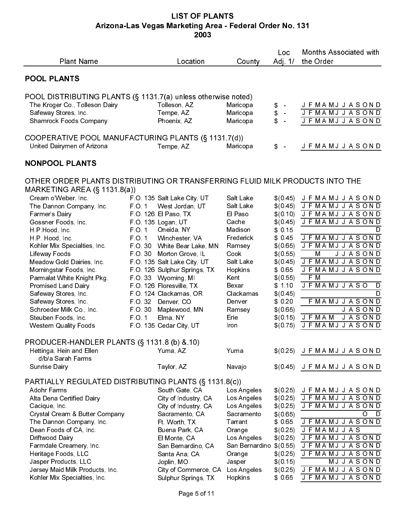## LIST OF PLANTS Arizona-Las Vegas Marketing Area - Federal Order No. 131 2003

| <b>Plant Name</b>                                                                                                                                                                                                                                                                                                                                                                                                                     | Location                                                                                                                                                                                                                                                                                                                                                                                                                                                               | County                                                                                                                                                                         | Loc<br>Adj. $1/$                                                                                                                                                                                  | <b>Months Associated with</b><br>the Order                                                                                                                                                                                                                                                                                                                        |
|---------------------------------------------------------------------------------------------------------------------------------------------------------------------------------------------------------------------------------------------------------------------------------------------------------------------------------------------------------------------------------------------------------------------------------------|------------------------------------------------------------------------------------------------------------------------------------------------------------------------------------------------------------------------------------------------------------------------------------------------------------------------------------------------------------------------------------------------------------------------------------------------------------------------|--------------------------------------------------------------------------------------------------------------------------------------------------------------------------------|---------------------------------------------------------------------------------------------------------------------------------------------------------------------------------------------------|-------------------------------------------------------------------------------------------------------------------------------------------------------------------------------------------------------------------------------------------------------------------------------------------------------------------------------------------------------------------|
| <b>POOL PLANTS</b>                                                                                                                                                                                                                                                                                                                                                                                                                    |                                                                                                                                                                                                                                                                                                                                                                                                                                                                        |                                                                                                                                                                                |                                                                                                                                                                                                   |                                                                                                                                                                                                                                                                                                                                                                   |
| POOL DISTRIBUTING PLANTS (§ 1131.7(a) unless otherwise noted)<br>The Kroger Co., Tolleson Dairy<br>Safeway Stores, Inc.<br><b>Shamrock Foods Company</b>                                                                                                                                                                                                                                                                              | Tolleson, AZ<br>Tempe, AZ<br>Phoenix, AZ                                                                                                                                                                                                                                                                                                                                                                                                                               | Maricopa<br>Maricopa<br>Maricopa                                                                                                                                               | \$<br>\$<br>\$<br>$\frac{1}{\sqrt{2}}$                                                                                                                                                            | J F MA M J J A S O N D<br>J F MA M J J A S O N D<br><b>JFMAMJJASOND</b>                                                                                                                                                                                                                                                                                           |
| COOPERATIVE POOL MANUFACTURING PLANTS (§ 1131.7(d))<br>United Dairymen of Arizona                                                                                                                                                                                                                                                                                                                                                     | Tempe, AZ                                                                                                                                                                                                                                                                                                                                                                                                                                                              | Maricopa                                                                                                                                                                       | \$                                                                                                                                                                                                | J F MA MJ J A SOND                                                                                                                                                                                                                                                                                                                                                |
| <b>NONPOOL PLANTS</b>                                                                                                                                                                                                                                                                                                                                                                                                                 |                                                                                                                                                                                                                                                                                                                                                                                                                                                                        |                                                                                                                                                                                |                                                                                                                                                                                                   |                                                                                                                                                                                                                                                                                                                                                                   |
| OTHER ORDER PLANTS DISTRIBUTING OR TRANSFERRING FLUID MILK PRODUCTS INTO THE<br>MARKETING AREA $(\S$ 1131.8(a))                                                                                                                                                                                                                                                                                                                       |                                                                                                                                                                                                                                                                                                                                                                                                                                                                        |                                                                                                                                                                                |                                                                                                                                                                                                   |                                                                                                                                                                                                                                                                                                                                                                   |
| Cream o'Weber, Inc.<br>The Dannon Company, Inc.<br>Farmer's Dairy<br>Gossner Foods, Inc.<br>H.P.Hood, Inc.<br>H.P. Hood, Inc.<br>Kohler Mix Specialties, Inc.<br>Lifeway Foods<br>Meadow Gold Dairies, Inc.<br>Morningstar Foods, Inc.<br>Parmalat White Knight Pkg.<br><b>Promised Land Dairy</b><br>Safeway Stores, Inc.<br>Safeway Stores, Inc.<br>Schroeder Milk Co., Inc.<br>Steuben Foods, Inc.<br><b>Western Quality Foods</b> | F O 135 Salt Lake City, UT<br>West Jordan, UT<br>F.O. 1<br>FO 126 El Paso, TX<br>FO 135 Logan, UT<br>FO. 1<br>Oneida <sub>NY</sub><br>FO <sub>1</sub><br>Winchester, VA<br>F.O. 30 White Bear Lake, MN<br>F.O. 30 Morton Grove, IL<br>F.O. 135 Salt Lake City, UT<br>F.O. 126 Sulphur Springs, TX<br>FO 33 Wyoming, MI<br>F.O. 126 Floresville, TX<br>FO. 124 Clackamas, OR<br>FO 32 Denver CO<br>Maplewood, MN<br>F O 30<br>Elma, NY<br>FO 1<br>FO 135 Cedar City, UT | Salt Lake<br>Salt Lake<br>El Paso<br>Cache<br>Madison<br>Frederick<br>Ramsey<br>Cook<br>Salt Lake<br>Hopkins<br>Kent<br>Bexar<br>Clackamas<br>Denver<br>Ramsey<br>Erie<br>Iron | \$(0, 45)<br>\$(0, 45)<br>\$(0.10)<br>\$(0, 45)<br>\$ 0.15<br>\$0.45<br>\$(0.65)<br>\$(0.55)<br>\$(0.45)<br>\$ 065<br>\$(0,55)<br>\$110<br>\$(0.45)<br>\$0,20<br>\$(0.65)<br>\$(0.15)<br>\$(0.75) | J F MA MJ J A S O N D<br>J F MA MJ J A S ON D<br>J F MA M J J A S O N D<br>J F MA M J J A S O N D<br>D<br>J F MA MJ J A S O N D<br>J F MA MJ J A S O N D<br>M<br><b>JJASOND</b><br>J F MA M J J A S O N D<br><b>JFMAMJJASOND</b><br>F M<br><b>JFMAMJJASO</b><br>D<br>D<br><b>FMAMJJASOND</b><br><b>JASOND</b><br>J F MA M<br><b>JASOND</b><br><b>JFMAMJJASOND</b> |
| PRODUCER-HANDLER PLANTS (§ 1131 8 (b) & 10)<br>Hettinga, Hein and Ellen                                                                                                                                                                                                                                                                                                                                                               | Yuma, AZ                                                                                                                                                                                                                                                                                                                                                                                                                                                               | Yuma                                                                                                                                                                           | \$(0.25)                                                                                                                                                                                          | J F MA M J J A S O N D                                                                                                                                                                                                                                                                                                                                            |
| d/b/a Sarah Farms<br>Sunrise Dairy                                                                                                                                                                                                                                                                                                                                                                                                    | Taylor, AZ                                                                                                                                                                                                                                                                                                                                                                                                                                                             | Navajo                                                                                                                                                                         | \$(0, 45)                                                                                                                                                                                         | J F MA MJ J A S O N D                                                                                                                                                                                                                                                                                                                                             |
| PARTIALLY REGULATED DISTRIBUTING PLANTS (§ 1131.8(c))<br>Adohr Farms<br>Alta Dena Certified Dairy<br>Cacique, Inc.<br>Crystal Cream & Butter Company<br>The Dannon Company, Inc.<br>Dean Foods of CA, Inc.<br>Driftwood Dairy<br>Farmdale Creamery, Inc.<br>Heritage Foods, LLC<br>Jasper Products, LLC<br>Jersey Maid Milk Products, Inc.<br>Kohler Mix Specialties, Inc.                                                            | South Gate, CA<br>City of Industry, CA<br>City of Industry, CA<br>Sacramento, CA<br>Ft Worth, TX<br>Buena Park, CA<br>El Monte, CA<br>San Bernardino, CA<br>Santa Ana, CA<br>Joplin, MO<br>City of Commerce, CA<br>Sulphur Springs, TX                                                                                                                                                                                                                                 | Los Angeles<br>Los Angeles<br>Los Angeles<br>Sacramento<br>Tarrant<br>Orange<br>Los Angeles<br>San Bernardino<br>Orange<br>Jasper<br>Los Angeles<br>Hopkins                    | \$(0, 25)<br>\$(0, 25)<br>\$(0.25)<br>\$(0.65)<br>\$ 0.65<br>\$(0.25)<br>\$(0.25)<br>\$(0.55)<br>\$(0.25)<br>\$(0.15)<br>\$(0.25)<br>\$ 0 65                                                      | J F MA M J J A S O N D<br>J F MAMJ J A SOND<br>J F MA M J J A S O N D<br>O<br>D<br>J F MA MJ J A S O N D<br>J F MA M J J A S<br>J F MA MJ J A S O N D<br>J F MA MJ J A S O N D<br>J F MA MJ J A S O N D<br>MJJASOND<br>J F MA MJ J A S ON D<br>J F MA M J J A S O N D                                                                                             |
|                                                                                                                                                                                                                                                                                                                                                                                                                                       | Page 5 of 11                                                                                                                                                                                                                                                                                                                                                                                                                                                           |                                                                                                                                                                                |                                                                                                                                                                                                   |                                                                                                                                                                                                                                                                                                                                                                   |
|                                                                                                                                                                                                                                                                                                                                                                                                                                       |                                                                                                                                                                                                                                                                                                                                                                                                                                                                        |                                                                                                                                                                                |                                                                                                                                                                                                   |                                                                                                                                                                                                                                                                                                                                                                   |
|                                                                                                                                                                                                                                                                                                                                                                                                                                       |                                                                                                                                                                                                                                                                                                                                                                                                                                                                        |                                                                                                                                                                                |                                                                                                                                                                                                   |                                                                                                                                                                                                                                                                                                                                                                   |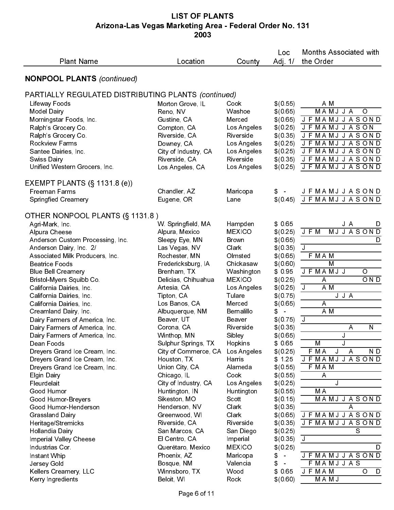## LIST OF PLANTS Arizona-Las Vegas Marketing Area - Federal Order No. 131 2003

| <b>Plant Name</b>                                        | Location                            | County                     | Loc<br>Adj $1/$            | <b>Months Associated with</b><br>the Order       |
|----------------------------------------------------------|-------------------------------------|----------------------------|----------------------------|--------------------------------------------------|
| <b>NONPOOL PLANTS (continued)</b>                        |                                     |                            |                            |                                                  |
| PARTIALLY REGULATED DISTRIBUTING PLANTS (continued)      |                                     |                            |                            |                                                  |
| Lifeway Foods                                            | Morton Grove, IL                    | Cook                       | \$(0.55)                   | A M                                              |
| <b>Model Dairy</b>                                       | Reno, NV                            | Washoe                     | \$(0.65)                   | MAMJJA<br>O                                      |
| Morningstar Foods, Inc.                                  | Gustine, CA                         | Merced                     | \$(0.65)                   | <b>JFMAMJJASOND</b>                              |
| Ralph's Grocery Co.                                      | Compton, CA                         | Los Angeles                | \$(0.25)                   | J F MAMJ J A S ON                                |
| Ralph's Grocery Co.<br>Rockview Farms                    | Riverside, CA                       | Riverside                  | \$(0.35)<br>\$(0.25)       | J F<br>MAMJJASOND<br>MAMJJASOND<br>J F           |
| Santee Dairies, Inc.                                     | Downey, CA<br>City of Industry, CA  | Los Angeles<br>Los Angeles | \$(0.25)                   | <b>JFMAMJJASOND</b>                              |
| Swiss Dairy                                              | Riverside, CA                       | Riverside                  | \$(0.35)                   | MAMJJASOND<br>JF                                 |
| Unified Western Grocers, Inc.                            | Los Angeles, CA                     | Los Angeles                | \$(0.25)                   | JF<br>MA MJ<br><b>JASOND</b>                     |
| EXEMPT PLANTS $(\S 1131.8$ (e))                          |                                     |                            |                            |                                                  |
| Freeman Farms<br><b>Springfied Creamery</b>              | Chandler, AZ<br>Eugene, OR          | Maricopa<br>Lane           | \$(0.45)                   | J F MA M J J A S O N D<br>J F MA M J J A S O N D |
| OTHER NONPOOL PLANTS (§ 1131.8)                          |                                     |                            |                            |                                                  |
| Agri-Mark, Inc.                                          | W. Springfield, MA                  | Hampden                    | \$ 0.65                    | JA<br>D                                          |
| Alpura Cheese                                            | Alpura, Mexico                      | <b>MEXICO</b>              | \$(0, 25)                  | J F M<br>MJJASOND                                |
| Anderson Custom Processing, Inc.                         | Sleepy Eye, MN                      | <b>Brown</b>               | \$(0.65)                   | D                                                |
| Anderson Dairy, Inc. 2/                                  | Las Vegas, NV                       | Clark                      | \$(0.35)                   | $\mathsf J$                                      |
| Associated Milk Producers, Inc.<br><b>Beatrice Foods</b> | Rochester, MN<br>Fredericksburg, IA | Olmsted<br>Chickasaw       | \$(0.65)<br>\$(0.60)       | F MAM<br>M                                       |
| <b>Blue Bell Creamery</b>                                | Brenham, TX                         | Washington                 | \$ 0.95                    | J F MAMJ J<br>$\circ$                            |
| Bristol-Myers Squibb Co.                                 | Delicias, Chihuahua                 | <b>MEXICO</b>              | \$(0.25)                   | OND<br>A                                         |
| California Dairies, Inc.                                 | Artesia, CA                         | Los Angeles                | \$(0.25)                   | A M<br>J                                         |
| California Dairies, Inc.                                 | Tipton, CA                          | Tulare                     | \$(0.75)                   | J J A                                            |
| California Dairies, Inc.                                 | Los Banos, CA                       | Merced                     | \$(0.65)                   | $\overline{A}$                                   |
| Creamland Dairy, Inc.<br>Dairy Farmers of America, Inc.  | Albuquerque, NM<br>Beaver, UT       | Bernalillo<br>Beaver       | \$<br>$\equiv$<br>\$(0.75) | A M<br>J                                         |
| Dairy Farmers of America, Inc.                           | Corona, CA                          | Riverside                  | \$(0.35)                   | N<br>Α                                           |
| Dairy Farmers of America, Inc.                           | Winthop, MN                         | Sibley                     | \$(0.65)                   |                                                  |
| Dean Foods                                               | Sulphur Springs, TX                 | Hopkins                    | \$ 0.65                    | J<br>М                                           |
| Dreyers Grand Ice Cream, Inc.                            | City of Commerce, CA                | Los Angeles                | \$(0.25)                   | M A<br>J<br>ND<br>F.<br>Α                        |
| Dreyers Grand Ice Cream, Inc.                            | Houston, TX<br>Union City, CA       | Harris<br>Alameda          | \$125<br>\$(0,55)          | <b>MAMJJASOND</b><br>JF<br>F MAM                 |
| Dreyers Grand Ice Cream, Inc.<br><b>Elgin Dairy</b>      | Chicago, IL                         | Cook                       | \$(0.55)                   | A                                                |
| Fleurdelait                                              | City of Industry, CA                | Los Angeles                | \$(0, 25)                  | J                                                |
| Good Humor                                               | Huntington, IN                      | Huntington                 | \$(0.55)                   | МA                                               |
| Good Humor-Breyers                                       | Sikeston, MO                        | Scott                      | \$(0.15)                   | <b>MAMJJASOND</b>                                |
| Good Humor-Henderson                                     | Henderson, NV                       | Clark                      | \$(0.35)                   | Α                                                |
| Grassland Dairy<br>Heritage/Stremicks                    | Greenwood, WI<br>Riverside, CA      | Clark<br>Riverside         | \$(0.65)<br>\$(0.35)       | J F MA M J J A S O N D<br>J F MA M J J A S O N D |
| Hollandia Dairy                                          | San Marcos, CA                      | San Diego                  | \$(0.25)                   | S                                                |
| Imperial Valley Cheese                                   | El Centro, CA                       | Imperial                   | \$(0.35)                   | J                                                |
| Industrias Cor                                           | Querétaro, Mexico                   | <b>MEXICO</b>              | \$(0.25)                   | D                                                |
| Instant Whip                                             | Phoenix, AZ                         | Maricopa                   | \$<br>$\sim$               | J F MA M J J A S O N D                           |
| Jersey Gold                                              | Bosque, NM                          | Valencia                   | $\equiv$                   | MAMJJAS<br>F                                     |
| Kellers Creamery, LLC<br>Kerry Ingredients               | Winnsboro, TX<br>Beloit, WI         | Wood<br>Rock               | \$ 0 65<br>\$(0.60)        | J F MA M<br>O<br>D<br><b>MAMJ</b>                |
|                                                          | Page 6 of 11                        |                            |                            |                                                  |
|                                                          |                                     |                            |                            |                                                  |
|                                                          |                                     |                            |                            |                                                  |
|                                                          |                                     |                            |                            |                                                  |
|                                                          |                                     |                            |                            |                                                  |
|                                                          |                                     |                            |                            |                                                  |
|                                                          |                                     |                            |                            |                                                  |
|                                                          |                                     |                            |                            |                                                  |
|                                                          |                                     |                            |                            |                                                  |
|                                                          |                                     |                            |                            |                                                  |
|                                                          |                                     |                            |                            |                                                  |
|                                                          |                                     |                            |                            |                                                  |
|                                                          |                                     |                            |                            |                                                  |
|                                                          |                                     |                            |                            |                                                  |
|                                                          |                                     |                            |                            |                                                  |
|                                                          |                                     |                            |                            |                                                  |
|                                                          |                                     |                            |                            |                                                  |
|                                                          |                                     |                            |                            |                                                  |
|                                                          |                                     |                            |                            |                                                  |
|                                                          |                                     |                            |                            |                                                  |
|                                                          |                                     |                            |                            |                                                  |
|                                                          |                                     |                            |                            |                                                  |
|                                                          |                                     |                            |                            |                                                  |
|                                                          |                                     |                            |                            |                                                  |
|                                                          |                                     |                            |                            |                                                  |
|                                                          |                                     |                            |                            |                                                  |
|                                                          |                                     |                            |                            |                                                  |
|                                                          |                                     |                            |                            |                                                  |
|                                                          |                                     |                            |                            |                                                  |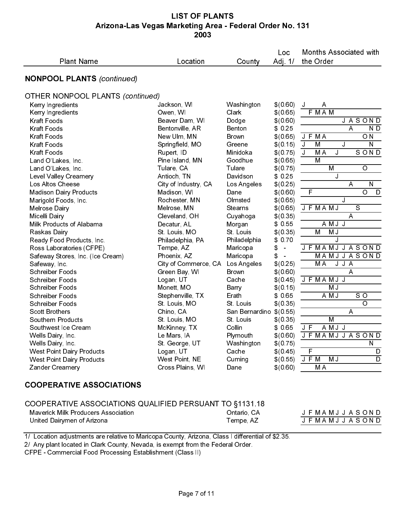#### LIST OF PLANTS Arizona-Las Vegas Marketing Area - Federal Order No. 131 2003

| <b>Plant Name</b>                                                                                                                                                                                                                                  | Location                     | County                  | Loc<br>Adj. $1/$          | <b>Months Associated with</b><br>the Order |
|----------------------------------------------------------------------------------------------------------------------------------------------------------------------------------------------------------------------------------------------------|------------------------------|-------------------------|---------------------------|--------------------------------------------|
| <b>NONPOOL PLANTS (continued)</b>                                                                                                                                                                                                                  |                              |                         |                           |                                            |
| <b>OTHER NONPOOL PLANTS (continued)</b>                                                                                                                                                                                                            |                              |                         |                           |                                            |
| Kerry Ingredients                                                                                                                                                                                                                                  | Jackson, WI                  | Washington              | \$(0.60)                  | A<br>J                                     |
| Kerry Ingredients                                                                                                                                                                                                                                  | Owen, WI                     | Clark                   | \$(0.65)                  | F MAM                                      |
| <b>Kraft Foods</b>                                                                                                                                                                                                                                 | Beaver Dam, WI               | Dodge                   | \$(0.60)                  | <b>JASOND</b>                              |
| <b>Kraft Foods</b>                                                                                                                                                                                                                                 | Bentonville, AR              | Benton                  | \$0.25                    | Α<br>N D                                   |
| Kraft Foods                                                                                                                                                                                                                                        | New Ulm, MN                  | Brown                   | \$(0.65)                  | O <sub>N</sub><br>J F MA                   |
| Kraft Foods                                                                                                                                                                                                                                        | Springfield, MO              | Greene                  | \$(0, 15)                 | M<br>J<br>${\sf N}$<br>J                   |
| Kraft Foods                                                                                                                                                                                                                                        | Rupert, ID                   | Minidoka                | \$(0.75)                  | J<br>M <sub>A</sub><br>SOND<br>J           |
| Land O'Lakes, Inc.                                                                                                                                                                                                                                 | Pine Island, MN              | Goodhue                 | \$(0.65)                  | M                                          |
| Land O'Lakes, Inc.                                                                                                                                                                                                                                 | Tulare, CA                   | Tulare                  | \$(0.75)                  | M<br>$\circ$                               |
| Level Valley Creamery                                                                                                                                                                                                                              | Antioch, TN                  | Davidson                | \$0.25                    | J                                          |
| Los Altos Cheese                                                                                                                                                                                                                                   | City of Industry, CA         | Los Angeles             | \$(0.25)                  | ${\sf N}$<br>A                             |
| <b>Madison Dairy Products</b>                                                                                                                                                                                                                      | Madison, WI                  | Dane                    | \$(0.60)                  | $\overline{\circ}$<br>F<br>D               |
| Marigold Foods, Inc.                                                                                                                                                                                                                               | Rochester, MN                | Olmsted                 | \$(0.65)                  | J                                          |
| Melrose Dairy                                                                                                                                                                                                                                      | Melrose, MN                  | <b>Stearns</b>          | \$(0.65)                  | $\overline{s}$<br>J F MA MJ                |
| Micelli Dairy                                                                                                                                                                                                                                      | Cleveland, OH                | Cuyahoga                | \$(0.35)                  | A                                          |
| Milk Products of Alabama                                                                                                                                                                                                                           | Decatur, AL                  | Morgan                  | \$0.55                    | AMJJ                                       |
| Raskas Dairy                                                                                                                                                                                                                                       | St Louis, MO                 | St Louis                | \$(0.35)                  | $\overline{M}$<br>MJ                       |
| Ready Food Products, Inc.                                                                                                                                                                                                                          | Philadelphia, PA             | Philadelphia            | \$0.70                    | J                                          |
| Ross Laboratories (CFPE)                                                                                                                                                                                                                           | Tempe, AZ                    | Maricopa                | \$<br>$\bar{\phantom{a}}$ | <b>JFMAMJJASOND</b>                        |
| Safeway Stores, Inc. (Ice Cream)                                                                                                                                                                                                                   | Phoenix, AZ                  | Maricopa                | \$<br>÷,                  | <b>MAMJJASOND</b>                          |
| Safeway, Inc.                                                                                                                                                                                                                                      | City of Commerce, CA         | Los Angeles             | \$(0, 25)                 | J J A<br>M <sub>A</sub>                    |
| <b>Schreiber Foods</b>                                                                                                                                                                                                                             | Green Bay, WI                | Brown                   | \$(0.60)                  | A                                          |
| <b>Schreiber Foods</b>                                                                                                                                                                                                                             | Logan, UT                    | Cache                   | \$(0.45)                  | J F MAMJ J                                 |
| <b>Schreiber Foods</b>                                                                                                                                                                                                                             | Monett, MO                   | Barry                   | \$(0.15)                  | M J                                        |
| <b>Schreiber Foods</b>                                                                                                                                                                                                                             | Stephenville, TX             | Erath                   | \$ 0.65                   | A M J<br>SO<br>$\overline{O}$              |
| <b>Schreiber Foods</b>                                                                                                                                                                                                                             | St Louis, MO                 | St Louis                | \$(0.35)                  |                                            |
| <b>Scott Brothers</b>                                                                                                                                                                                                                              | Chino, CA                    | San Bernardino \$(0.55) |                           | A                                          |
| Southern Products                                                                                                                                                                                                                                  | St Louis, MO                 | St Louis                | \$(0.35)                  | M                                          |
| Southwest Ice Cream                                                                                                                                                                                                                                | McKinney, TX                 | Collin                  | \$ 0.65                   | J F<br>AMJJ                                |
| Wells Dairy, Inc.<br>Wells Dairy, Inc.                                                                                                                                                                                                             | Le Mars, IA<br>St George, UT | Plymouth                |                           | \$(0.60) J F MAMJ J A S O N D<br>${\sf N}$ |
| <b>West Point Dairy Products</b>                                                                                                                                                                                                                   | Logan, UT                    | Washington<br>Cache     | \$(0.75)<br>\$(0, 45)     | F<br>D                                     |
| <b>West Point Dairy Products</b>                                                                                                                                                                                                                   | West Point, NE               | Cuming                  | \$(0, 55)                 | M J<br>J F M<br>D                          |
| Zander Creamery                                                                                                                                                                                                                                    | Cross Plains, WI             | Dane                    | \$(0.60)                  | M <sub>A</sub>                             |
| <b>COOPERATIVE ASSOCIATIONS</b>                                                                                                                                                                                                                    |                              |                         |                           |                                            |
| COOPERATIVE ASSOCIATIONS QUALIFIED PERSUANT TO §1131.18                                                                                                                                                                                            |                              |                         |                           |                                            |
| <b>Maverick Milk Producers Association</b>                                                                                                                                                                                                         |                              | Ontario, CA             |                           | J F MA M J J A S O N D                     |
| United Dairymen of Arizona                                                                                                                                                                                                                         |                              | Tempe, AZ               |                           | J F MA M J J A S O N D                     |
|                                                                                                                                                                                                                                                    |                              |                         |                           |                                            |
| 1/ Location adjustments are relative to Maricopa County, Arizona, Class I differential of \$2.35.<br>2/ Any plant located in Clark County, Nevada, is exempt from the Federal Order.<br>CFPE - Commercial Food Processing Establishment (Class II) |                              |                         |                           |                                            |
|                                                                                                                                                                                                                                                    |                              |                         |                           |                                            |
|                                                                                                                                                                                                                                                    | Page 7 of 11                 |                         |                           |                                            |

# COOPERATIVE ASSOCIATIONS

| COOPERATIVE ASSOCIATIONS QUALIFIED PERSUANT TO §1131.18<br><b>Maverick Milk Producers Association</b><br>United Dairymen of Arizona                                                                                                                | Ontario, CA<br>Tempe, AZ | J F MAMJ J A S O N D<br><b>JFMAMJJASOND</b> |
|----------------------------------------------------------------------------------------------------------------------------------------------------------------------------------------------------------------------------------------------------|--------------------------|---------------------------------------------|
| 1/ Location adjustments are relative to Maricopa County, Arizona, Class I differential of \$2.35.<br>2/ Any plant located in Clark County, Nevada, is exempt from the Federal Order.<br>CFPE - Commercial Food Processing Establishment (Class II) |                          |                                             |
|                                                                                                                                                                                                                                                    |                          |                                             |
|                                                                                                                                                                                                                                                    | Page 7 of 11             |                                             |
|                                                                                                                                                                                                                                                    |                          |                                             |
|                                                                                                                                                                                                                                                    |                          |                                             |
|                                                                                                                                                                                                                                                    |                          |                                             |
|                                                                                                                                                                                                                                                    |                          |                                             |
|                                                                                                                                                                                                                                                    |                          |                                             |
|                                                                                                                                                                                                                                                    |                          |                                             |
|                                                                                                                                                                                                                                                    |                          |                                             |
|                                                                                                                                                                                                                                                    |                          |                                             |
|                                                                                                                                                                                                                                                    |                          |                                             |
|                                                                                                                                                                                                                                                    |                          |                                             |
|                                                                                                                                                                                                                                                    |                          |                                             |
|                                                                                                                                                                                                                                                    |                          |                                             |
|                                                                                                                                                                                                                                                    |                          |                                             |
|                                                                                                                                                                                                                                                    |                          |                                             |
|                                                                                                                                                                                                                                                    |                          |                                             |
|                                                                                                                                                                                                                                                    |                          |                                             |
|                                                                                                                                                                                                                                                    |                          |                                             |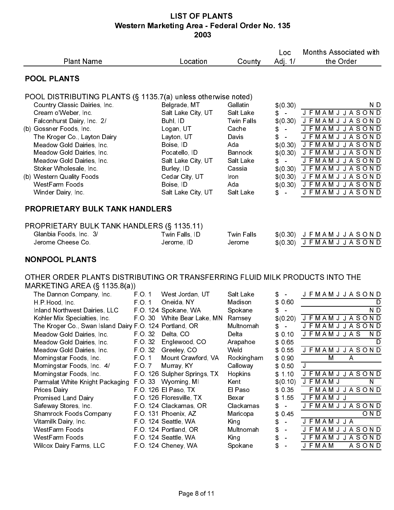| <b>Plant Name</b>                                                                                                                                                                                                                                                                                                                                                                                                                                                                                                                                                                                                                                                                                         | Location                                                                                                                                                                                                                                                                                                                                                                                                                                                                                   | County                                                                                                                                                                                                                | Loc<br>Adj $1/$                                                                                                                                                                                                                                                           | Months Associated with<br>the Order                                                                                                                                                                                                                                                                                                                                                     |
|-----------------------------------------------------------------------------------------------------------------------------------------------------------------------------------------------------------------------------------------------------------------------------------------------------------------------------------------------------------------------------------------------------------------------------------------------------------------------------------------------------------------------------------------------------------------------------------------------------------------------------------------------------------------------------------------------------------|--------------------------------------------------------------------------------------------------------------------------------------------------------------------------------------------------------------------------------------------------------------------------------------------------------------------------------------------------------------------------------------------------------------------------------------------------------------------------------------------|-----------------------------------------------------------------------------------------------------------------------------------------------------------------------------------------------------------------------|---------------------------------------------------------------------------------------------------------------------------------------------------------------------------------------------------------------------------------------------------------------------------|-----------------------------------------------------------------------------------------------------------------------------------------------------------------------------------------------------------------------------------------------------------------------------------------------------------------------------------------------------------------------------------------|
| <b>POOL PLANTS</b>                                                                                                                                                                                                                                                                                                                                                                                                                                                                                                                                                                                                                                                                                        |                                                                                                                                                                                                                                                                                                                                                                                                                                                                                            |                                                                                                                                                                                                                       |                                                                                                                                                                                                                                                                           |                                                                                                                                                                                                                                                                                                                                                                                         |
| POOL DISTRIBUTING PLANTS (§ 1135.7(a) unless otherwise noted)<br>Country Classic Dairies, Inc.<br>Cream o'Weber, Inc.<br>Falconhurst Dairy, Inc. 2/<br>(b) Gossner Foods, Inc.<br>The Kroger Co., Layton Dairy<br>Meadow Gold Dairies, Inc.<br>Meadow Gold Dairies, Inc.<br>Meadow Gold Dairies, Inc.<br>Stoker Wholesale, Inc.<br>(b) Western Quality Foods<br><b>WestFarm Foods</b><br>Winder Dairy, Inc.                                                                                                                                                                                                                                                                                               | Belgrade, MT<br>Salt Lake City, UT<br>Buhl, ID<br>Logan, UT<br>Layton, UT<br>Boise, ID<br>Pocatello, ID<br>Salt Lake City, UT<br>Burley, ID<br>Cedar City, UT<br>Boise, ID<br>Salt Lake City, UT                                                                                                                                                                                                                                                                                           | Gallatin<br>Salt Lake<br><b>Twin Falls</b><br>Cache<br>Davis<br>Ada<br><b>Bannock</b><br>Salt Lake<br>Cassia<br>Iron<br>Ada<br>Salt Lake                                                                              | \$ (0.30)<br>$\mathbb{S}$ –<br>\$<br>$\sim$<br>\$<br>$\sim$<br>\$(0.30)<br>\$ (0.30)<br>\$<br>$\sim$<br>$\mathbb{S}$ –                                                                                                                                                    | N D<br><b>JFMAMJJASOND</b><br>\$(0.30) JFMAMJJASOND<br><b>JFMAMJJASOND</b><br><b>JFMAMJJASOND</b><br><b>JFMAMJJASOND</b><br>J F M A M J J A S O N D<br><b>JFMAMJJASOND</b><br>$$ (0.30)$ JFMAMJJASOND<br>\$(0.30) JFMAMJJASOND<br>$$(0.30)$ JFMAMJJASOND<br><b>JFMAMJJASOND</b>                                                                                                         |
| <b>PROPRIETARY BULK TANK HANDLERS</b>                                                                                                                                                                                                                                                                                                                                                                                                                                                                                                                                                                                                                                                                     |                                                                                                                                                                                                                                                                                                                                                                                                                                                                                            |                                                                                                                                                                                                                       |                                                                                                                                                                                                                                                                           |                                                                                                                                                                                                                                                                                                                                                                                         |
| PROPRIETARY BULK TANK HANDLERS (§ 1135.11)<br>Glanbia Foods, Inc. 3/<br>Jerome Cheese Co.                                                                                                                                                                                                                                                                                                                                                                                                                                                                                                                                                                                                                 | Twin Falls, ID<br>Jerome, ID                                                                                                                                                                                                                                                                                                                                                                                                                                                               | <b>Twin Falls</b><br>Jerome                                                                                                                                                                                           |                                                                                                                                                                                                                                                                           | $$ (0.30)$ JFMAMJJASOND<br>$$(0.30)$ JFMAMJJASOND                                                                                                                                                                                                                                                                                                                                       |
| <b>NONPOOL PLANTS</b>                                                                                                                                                                                                                                                                                                                                                                                                                                                                                                                                                                                                                                                                                     |                                                                                                                                                                                                                                                                                                                                                                                                                                                                                            |                                                                                                                                                                                                                       |                                                                                                                                                                                                                                                                           |                                                                                                                                                                                                                                                                                                                                                                                         |
| OTHER ORDER PLANTS DISTRIBUTING OR TRANSFERRING FLUID MILK PRODUCTS INTO THE<br>MARKETING AREA (§ 1135.8(a))<br>The Dannon Company, Inc.<br>H.P.Hood, Inc.<br>Inland Northwest Dairies, LLC<br>Kohler Mix Specialties, Inc.<br>The Kroger Co., Swan Island Dairy F.O. 124 Portland, OR<br>Meadow Gold Dairies, Inc.<br>Meadow Gold Dairies, Inc.<br>Meadow Gold Dairies, Inc.<br>Morningstar Foods, Inc.<br>Morningstar Foods, Inc. 4/<br>Morningstar Foods, Inc.<br>Parmalat White Knight Packaging<br><b>Prices Dairy</b><br><b>Promised Land Dairy</b><br>Safeway Stores, Inc.<br><b>Shamrock Foods Company</b><br>Vitamilk Dairy, Inc.<br>WestFarm Foods<br>WestFarm Foods<br>Wilcox Dairy Farms, LLC | FO <sub>1</sub><br>West Jordan, UT<br>FO 1<br>Oneida, NY<br>F.O. 124 Spokane, WA<br>F O 30 White Bear Lake, MN<br>FO 32 Delta, CO<br>F O 32<br>Englewood, CO<br>Greeley, CO<br>F O 32<br>F O 1<br>Mount Crawford, VA<br>F O 7<br>Murray, KY<br>F.O. 126 Sulpher Springs, TX<br>FO 33 Wyoming, MI<br>FO 126 El Paso, TX<br>F.O. 126 Floresville, TX<br>F O 124 Clackamas, OR<br>FO 131 Phoenix, AZ<br>FO 124 Seattle, WA<br>FO 124 Portland, OR<br>FO. 124 Seattle, WA<br>FO 124 Cheney, WA | Salt Lake<br>Madison<br>Spokane<br>Ramsey<br>Multnomah<br>Delta<br>Arapahoe<br>Weld<br>Rockingham<br>Calloway<br>Hopkins<br>Kent<br>El Paso<br>Bexar<br>Clackamas<br>Maricopa<br>King<br>Multnomah<br>King<br>Spokane | \$<br>$\sim$<br>\$ 0.60<br>\$<br>$\mathbf{r}$<br>\$ (0.20)<br>\$<br>$\bar{\phantom{a}}$<br>\$0.10<br>\$ 0.65<br>\$0.55<br>\$0.90<br>\$0.50<br>\$1.10<br>\$(0.10)<br>\$0.35<br>\$155<br>\$<br>$\omega$<br>\$<br>0.45<br>\$<br>$\blacksquare$<br>\$<br>$\equiv$<br>\$<br>\$ | <b>JFMAMJJASOND</b><br>D<br>$\overline{N}$<br><b>JFMAMJJASOND</b><br><b>JFMAMJJASOND</b><br><b>JFMAMJJAS</b><br>N D<br>D<br><b>JFMAMJJASOND</b><br>M<br>Α<br>J.<br><b>JFMAMJJASOND</b><br><b>JFMAMJ</b><br>$\mathsf{N}$<br>FMAMJJASOND<br><b>JFMAMJJ</b><br><b>JFMAMJJASOND</b><br>OND<br><b>JFMAMJJA</b><br><b>JFMAMJJASOND</b><br><b>JFMAMJJASOND</b><br><b>JFMAM</b><br><b>ASOND</b> |
|                                                                                                                                                                                                                                                                                                                                                                                                                                                                                                                                                                                                                                                                                                           |                                                                                                                                                                                                                                                                                                                                                                                                                                                                                            |                                                                                                                                                                                                                       |                                                                                                                                                                                                                                                                           |                                                                                                                                                                                                                                                                                                                                                                                         |
|                                                                                                                                                                                                                                                                                                                                                                                                                                                                                                                                                                                                                                                                                                           |                                                                                                                                                                                                                                                                                                                                                                                                                                                                                            |                                                                                                                                                                                                                       |                                                                                                                                                                                                                                                                           |                                                                                                                                                                                                                                                                                                                                                                                         |
|                                                                                                                                                                                                                                                                                                                                                                                                                                                                                                                                                                                                                                                                                                           |                                                                                                                                                                                                                                                                                                                                                                                                                                                                                            |                                                                                                                                                                                                                       |                                                                                                                                                                                                                                                                           |                                                                                                                                                                                                                                                                                                                                                                                         |
|                                                                                                                                                                                                                                                                                                                                                                                                                                                                                                                                                                                                                                                                                                           |                                                                                                                                                                                                                                                                                                                                                                                                                                                                                            |                                                                                                                                                                                                                       |                                                                                                                                                                                                                                                                           |                                                                                                                                                                                                                                                                                                                                                                                         |
|                                                                                                                                                                                                                                                                                                                                                                                                                                                                                                                                                                                                                                                                                                           |                                                                                                                                                                                                                                                                                                                                                                                                                                                                                            |                                                                                                                                                                                                                       |                                                                                                                                                                                                                                                                           |                                                                                                                                                                                                                                                                                                                                                                                         |
|                                                                                                                                                                                                                                                                                                                                                                                                                                                                                                                                                                                                                                                                                                           |                                                                                                                                                                                                                                                                                                                                                                                                                                                                                            |                                                                                                                                                                                                                       |                                                                                                                                                                                                                                                                           |                                                                                                                                                                                                                                                                                                                                                                                         |
|                                                                                                                                                                                                                                                                                                                                                                                                                                                                                                                                                                                                                                                                                                           |                                                                                                                                                                                                                                                                                                                                                                                                                                                                                            |                                                                                                                                                                                                                       |                                                                                                                                                                                                                                                                           |                                                                                                                                                                                                                                                                                                                                                                                         |
|                                                                                                                                                                                                                                                                                                                                                                                                                                                                                                                                                                                                                                                                                                           |                                                                                                                                                                                                                                                                                                                                                                                                                                                                                            |                                                                                                                                                                                                                       |                                                                                                                                                                                                                                                                           |                                                                                                                                                                                                                                                                                                                                                                                         |
|                                                                                                                                                                                                                                                                                                                                                                                                                                                                                                                                                                                                                                                                                                           |                                                                                                                                                                                                                                                                                                                                                                                                                                                                                            |                                                                                                                                                                                                                       |                                                                                                                                                                                                                                                                           |                                                                                                                                                                                                                                                                                                                                                                                         |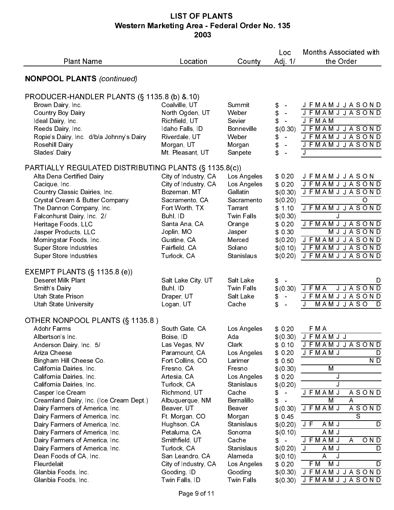| <b>Plant Name</b>                                                                                                                                                                                                                                                                                                                                                                                                                                                                                                                                                                              | Location                                                                                                                                                                                                                                                                                                                                                               | County                                                                                                                                                                                                                                    | Loc<br>Adj. 1/                                                                                                                                                                                                                 | <b>Months Associated with</b><br>the Order                                                                                                                                                                                                                                                                                                    |
|------------------------------------------------------------------------------------------------------------------------------------------------------------------------------------------------------------------------------------------------------------------------------------------------------------------------------------------------------------------------------------------------------------------------------------------------------------------------------------------------------------------------------------------------------------------------------------------------|------------------------------------------------------------------------------------------------------------------------------------------------------------------------------------------------------------------------------------------------------------------------------------------------------------------------------------------------------------------------|-------------------------------------------------------------------------------------------------------------------------------------------------------------------------------------------------------------------------------------------|--------------------------------------------------------------------------------------------------------------------------------------------------------------------------------------------------------------------------------|-----------------------------------------------------------------------------------------------------------------------------------------------------------------------------------------------------------------------------------------------------------------------------------------------------------------------------------------------|
| <b>NONPOOL PLANTS (continued)</b>                                                                                                                                                                                                                                                                                                                                                                                                                                                                                                                                                              |                                                                                                                                                                                                                                                                                                                                                                        |                                                                                                                                                                                                                                           |                                                                                                                                                                                                                                |                                                                                                                                                                                                                                                                                                                                               |
| PRODUCER-HANDLER PLANTS (§ 1135.8 (b) & 10)<br>Brown Dairy, Inc.<br><b>Country Boy Dairy</b><br>Ideal Dairy, Inc.<br>Reeds Dairy, Inc.<br>Ropie's Dairy, Inc. d/b/a Johnny's Dairy<br>Rosehill Dairy<br>Slades' Dairy                                                                                                                                                                                                                                                                                                                                                                          | Coalville, UT<br>North Ogden, UT<br>Richfield, UT<br>Idaho Falls, ID<br>Riverdale, UT<br>Morgan, UT<br>Mt Pleasant, UT                                                                                                                                                                                                                                                 | Summit<br>Weber<br>Sevier<br><b>Bonneville</b><br>Weber<br>Morgan<br>Sanpete                                                                                                                                                              | \$<br>\$<br>$\sim$<br>\$<br>\$ (0.30)<br>\$<br>$\sim$<br>\$<br>\$<br>$\bar{a}$                                                                                                                                                 | <b>JFMAMJJASOND</b><br><b>JFMAMJJASOND</b><br><b>JFMAM</b><br><b>JFMAMJJASOND</b><br><b>JFMAMJJASOND</b><br><b>JFMAMJJASOND</b><br>J                                                                                                                                                                                                          |
| PARTIALLY REGULATED DISTRIBUTING PLANTS (§ 1135.8(c))<br>Alta Dena Certified Dairy<br>Cacique, Inc.<br>Country Classic Dairies, Inc.<br>Crystal Cream & Butter Company<br>The Dannon Company, Inc.<br>Falconhurst Dairy, Inc. 2/<br>Heritage Foods, LLC<br>Jasper Products, LLC<br>Morningstar Foods, Inc.<br>Super Store Industries<br><b>Super Store Industries</b>                                                                                                                                                                                                                          | City of Industry, CA<br>City of Industry, CA<br>Bozeman, MT<br>Sacramento, CA<br>Fort Worth, TX<br>Buhl, ID<br>Santa Ana, CA<br>Joplin, MO<br>Gustine, CA<br>Fairfield, CA<br>Turlock, CA                                                                                                                                                                              | Los Angeles<br>Los Angeles<br>Gallatin<br>Sacramento<br>Tarrant<br><b>Twin Falls</b><br>Orange<br>Jasper<br>Merced<br>Solano<br>Stanislaus                                                                                                | \$0,20<br>\$0,20<br>\$ (0.30)<br>\$ (0.20)<br>\$110<br>\$ (0.30)<br>\$0,20<br>\$ 0 30<br>\$ (0.20)<br>\$(0.10)<br>\$ (0.20)                                                                                                    | <b>JFMAMJJASON</b><br><b>JFMAMJJASOND</b><br><b>JFMAMJJASOND</b><br>O<br><b>JFMAMJJASOND</b><br>J<br><b>JFMAMJJASOND</b><br>MJJASOND<br><b>JFMAMJJASOND</b><br>J F M A M J J A S O N D<br><b>JFMAMJJASOND</b>                                                                                                                                 |
| EXEMPT PLANTS $(\S 1135.8$ (e))<br>Deseret Milk Plant<br>Smith's Dairy<br>Utah State Prison<br><b>Utah State University</b>                                                                                                                                                                                                                                                                                                                                                                                                                                                                    | Salt Lake City, UT<br>Buhl, ID<br>Draper, UT<br>Logan, UT                                                                                                                                                                                                                                                                                                              | Salt Lake<br><b>Twin Falls</b><br>Salt Lake<br>Cache                                                                                                                                                                                      | \$<br>$\sim$<br>\$ (0.30)<br>\$<br>\$<br>$\sim$                                                                                                                                                                                | D<br><b>JFMA</b><br><b>JJASOND</b><br><b>JFMAMJJASOND</b><br>MAMJJASO<br>D<br>J                                                                                                                                                                                                                                                               |
| OTHER NONPOOL PLANTS (§ 1135.8)<br>Adohr Farms<br>Albertson's Inc.<br>Anderson Dairy, Inc. 5/<br>Ariza Cheese<br>Bingham Hill Cheese Co.<br>California Dairies, Inc.<br>California Dairies, Inc.<br>California Dairies, Inc.<br>Casper Ice Cream<br>Creamland Dairy, Inc. (Ice Cream Dept.)<br>Dairy Farmers of America, Inc.<br>Dairy Farmers of America, Inc.<br>Dairy Farmers of America, Inc.<br>Dairy Farmers of America, Inc.<br>Dairy Farmers of America, Inc.<br>Dairy Farmers of America, Inc.<br>Dean Foods of CA, Inc.<br>Fleurdelait<br>Glanbia Foods, Inc.<br>Glanbia Foods, Inc. | South Gate, CA<br>Boise, ID<br>Las Vegas, NV<br>Paramount, CA<br>Fort Collins, CO<br>Fresno, CA<br>Artesia <sub>CA</sub><br>Turlock, CA<br>Richmond, UT<br>Albuquerque, NM<br>Beaver, UT<br>Ft. Morgan, CO<br>Hughson, CA<br>Petaluma, CA<br>Smithfield, UT<br>Turlock, CA<br>San Leandro, CA<br>City of Industry, CA<br>Gooding, ID<br>Twin Falls, ID<br>Page 9 of 11 | Los Angeles<br>Ada<br>Clark<br>Los Angeles<br>Larimer<br>Fresno<br>Los Angeles<br>Stanislaus<br>Cache<br>Bernalillo<br>Beaver<br>Morgan<br>Stanislaus<br>Sonoma<br>Cache<br>Stanislaus<br>Alameda<br>Los Angeles<br>Gooding<br>Twin Falls | \$0,20<br>\$ (0.30)<br>\$0.10<br>\$0.20<br>\$0.50<br>\$ (0.30)<br>\$0.20<br>\$ (0.20)<br>\$<br>\$<br>\$ (0.30)<br>\$045<br>\$ (0.20)<br>\$(0.10)<br>S.<br>$\sim$<br>\$ (0.20)<br>\$ (0.10)<br>\$0.20<br>\$ (0.30)<br>\$ (0.30) | F M A<br><b>JFMAMJJ</b><br><b>JFMAMJJASOND</b><br><b>JFMAMJ</b><br>D<br>N D<br>M<br>J<br>J<br><b>JFMAMJ</b><br><b>ASOND</b><br>М<br>Α<br><b>ASOND</b><br><b>JFMAMJ</b><br>$\mathsf{S}$<br>J F<br>AMJ<br>D<br>A M J<br><b>JFMAMJ</b><br>OND<br>A<br>A M J<br>J<br>D<br>A<br>J<br>F M<br>M J<br>D<br><b>JFMAMJJASOND</b><br><b>JFMAMJJASOND</b> |
|                                                                                                                                                                                                                                                                                                                                                                                                                                                                                                                                                                                                |                                                                                                                                                                                                                                                                                                                                                                        |                                                                                                                                                                                                                                           |                                                                                                                                                                                                                                |                                                                                                                                                                                                                                                                                                                                               |
|                                                                                                                                                                                                                                                                                                                                                                                                                                                                                                                                                                                                |                                                                                                                                                                                                                                                                                                                                                                        |                                                                                                                                                                                                                                           |                                                                                                                                                                                                                                |                                                                                                                                                                                                                                                                                                                                               |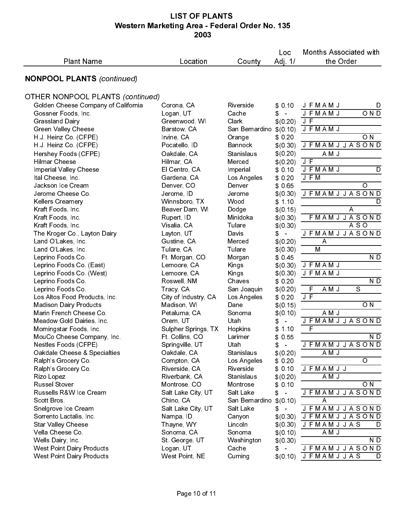| <b>NONPOOL PLANTS (continued)</b><br><b>OTHER NONPOOL PLANTS (continued)</b><br>Golden Cheese Company of California<br>Corona, CA<br>Riverside<br>\$0,10<br><b>JFMAMJ</b><br><b>JFMAMJ</b><br>Gossner Foods, Inc.<br>Logan, UT<br>Cache<br>\$<br>$\bar{\phantom{a}}$<br>J F<br>Clark<br><b>Grassland Dairy</b><br>Greenwood, WI<br>\$ (0.20)<br><b>Green Valley Cheese</b><br>JFMAMJ<br>Barstow, CA<br>San Bernardino \$ (0.10)<br>O <sub>N</sub><br>H.J. Heinz Co. (CFPE)<br>Irvine, CA<br>\$0,20<br>Orange<br><b>JFMAMJJASOND</b><br>H.J. Heinz Co. (CFPE)<br><b>Bannock</b><br>\$(0.30)<br>Pocatello, ID<br>\$ (0.20)<br>AMJ<br>Hershey Foods (CFPE)<br>Oakdale, CA<br>Stanislaus<br>$J_F$<br><b>Hilmar Cheese</b><br>Hilmar, CA<br>Merced<br>\$ (0.20)<br><b>JFMAMJ</b><br>Imperial Valley Cheese<br>El Centro, CA<br>Imperial<br>\$0,10<br>J F M<br>Ital Cheese, Inc.<br>Gardena, CA<br>Los Angeles<br>\$0,20<br>Jackson Ice Cream<br>O<br>Denver, CO<br>Denver<br>\$ 065<br><b>JFMAMJJASOND</b><br>Jerome Cheese Co.<br>Jerome, ID<br>Jerome<br>\$ (0.30)<br><b>Kellers Creamery</b><br>Winnsboro, TX<br>Wood<br>\$1.10<br>A<br>Kraft Foods, Inc.<br>Beaver Dam, WI<br>Dodge<br>\$ (0.15)<br>Kraft Foods, Inc.<br>Rupert, ID<br>Minidoka<br>\$ (0.30)<br>$A S$ O<br>Kraft Foods, Inc.<br>Visalia, CA<br>Tulare<br>\$ (0.30)<br>Davis<br><b>JFMAMJJASOND</b><br>The Kroger Co., Layton Dairy<br>Layton, UT<br>\$<br>$\sim$<br>Land O'Lakes, Inc.<br>Gustine, CA<br>Merced<br>\$ (0.20)<br>$\overline{\mathsf{A}}$<br>M<br>Tulare<br>Land O'Lakes, Inc.<br>Tulare, CA<br>\$ (0.30)<br>Leprino Foods Co.<br>Ft. Morgan, CO<br>Morgan<br>\$045<br><b>JFMAMJ</b><br>Leprino Foods Co. (East)<br>Lemoore, CA<br>\$ (0.30)<br>Kings<br><b>JFMAMJ</b><br>Leprino Foods Co. (West)<br>Lemoore, CA<br>\$ (0.30)<br>Kings<br>Leprino Foods Co.<br>Roswell, NM<br>Chaves<br>\$0.20<br>AMJ<br>F<br>$\mathbf S$<br>Leprino Foods Co.<br>Tracy, CA<br>San Joaquin<br>\$ (0.20)<br>J F<br>Los Altos Food Products, Inc.<br>City of Industry, CA<br>Los Angeles<br>\$0.20<br><b>Madison Dairy Products</b><br>O <sub>N</sub><br>Madison, WI<br>Dane<br>\$(0.15)<br>AMJ<br>Marin French Cheese Co.<br>Petaluma, CA<br>Sonoma<br>\$(0.10)<br><b>JFMAMJJASOND</b><br>Meadow Gold Dairies, Inc.<br>Orem, UT<br>Utah<br>\$<br>$\blacksquare$<br>$\mathsf F$<br>Morningstar Foods, Inc.<br>Sulpher Springs, TX<br>Hopkins<br>\$<br>1.10<br>\$0.55<br>MouCo Cheese Company, Inc.<br>Ft Collins, CO<br>Larimer<br><b>JFMAMJJASOND</b><br>Nestles Foods (CFPE)<br>Springville, UT<br>Utah<br>\$<br>$\sim$<br>A M J<br>Oakdale Cheese & Specialties<br>Oakdale, CA<br>Stanislaus<br>\$ (0.20)<br>O<br>Ralph's Grocery Co.<br>Compton, CA<br>Los Angeles<br>\$0.20<br>Ralph's Grocery Co.<br>Riverside, CA<br>Riverside<br><b>JFMAMJJ</b><br>\$0.10<br>Riverbank, CA<br>Stanislaus<br>\$ (0.20)<br>A M J<br>Rizo Lopez<br>Russel Stover<br>Montrose, CO<br>O N<br>Montrose<br>\$0.10<br><b>JFMAMJJASOND</b><br>Russells R&W Ice Cream<br>Salt Lake City, UT<br>Salt Lake<br>$\sim$<br>\$<br>Scott Bros<br>Chino, CA<br>San Bernardino \$(0.10)<br>Α<br>Salt Lake City, UT<br>Salt Lake<br><b>JFMAMJJASOND</b><br>Snelgrove Ice Cream<br>\$<br>$\sim$<br>Sorrento Lactalis, Inc.<br><b>JFMAMJJASOND</b><br>Nampa, ID<br>Canyon<br>\$ (0.30)<br><b>Star Valley Cheese</b><br>Thayne, WY<br><b>JFMAMJJAS</b><br>Lincoln<br>\$ (0.30)<br>Vella Cheese Co.<br>Sonoma, CA<br>Sonoma<br>\$ (0.10)<br>A M J<br>Wells Dairy, Inc.<br>St George, UT<br>Washington<br>\$ (0.30)<br><b>West Point Dairy Products</b><br>Logan, UT<br>Cache<br>\$<br>$\sim$<br><b>West Point Dairy Products</b><br>West Point, NE<br>Cuming<br>$$(0.10)$ JFMAMJJAS |                   | Location |        | Loc    | Months Associated with |
|-----------------------------------------------------------------------------------------------------------------------------------------------------------------------------------------------------------------------------------------------------------------------------------------------------------------------------------------------------------------------------------------------------------------------------------------------------------------------------------------------------------------------------------------------------------------------------------------------------------------------------------------------------------------------------------------------------------------------------------------------------------------------------------------------------------------------------------------------------------------------------------------------------------------------------------------------------------------------------------------------------------------------------------------------------------------------------------------------------------------------------------------------------------------------------------------------------------------------------------------------------------------------------------------------------------------------------------------------------------------------------------------------------------------------------------------------------------------------------------------------------------------------------------------------------------------------------------------------------------------------------------------------------------------------------------------------------------------------------------------------------------------------------------------------------------------------------------------------------------------------------------------------------------------------------------------------------------------------------------------------------------------------------------------------------------------------------------------------------------------------------------------------------------------------------------------------------------------------------------------------------------------------------------------------------------------------------------------------------------------------------------------------------------------------------------------------------------------------------------------------------------------------------------------------------------------------------------------------------------------------------------------------------------------------------------------------------------------------------------------------------------------------------------------------------------------------------------------------------------------------------------------------------------------------------------------------------------------------------------------------------------------------------------------------------------------------------------------------------------------------------------------------------------------------------------------------------------------------------------------------------------------------------------------------------------------------------------------------------------------------------------------------------------------------------------------------------------------------------------------------------------------------------------------------------------------------------------------------------------------------------------------------------------------------------------------------------------------|-------------------|----------|--------|--------|------------------------|
|                                                                                                                                                                                                                                                                                                                                                                                                                                                                                                                                                                                                                                                                                                                                                                                                                                                                                                                                                                                                                                                                                                                                                                                                                                                                                                                                                                                                                                                                                                                                                                                                                                                                                                                                                                                                                                                                                                                                                                                                                                                                                                                                                                                                                                                                                                                                                                                                                                                                                                                                                                                                                                                                                                                                                                                                                                                                                                                                                                                                                                                                                                                                                                                                                                                                                                                                                                                                                                                                                                                                                                                                                                                                                                                 | <b>Plant Name</b> |          | County | Adj 1/ | the Order              |
|                                                                                                                                                                                                                                                                                                                                                                                                                                                                                                                                                                                                                                                                                                                                                                                                                                                                                                                                                                                                                                                                                                                                                                                                                                                                                                                                                                                                                                                                                                                                                                                                                                                                                                                                                                                                                                                                                                                                                                                                                                                                                                                                                                                                                                                                                                                                                                                                                                                                                                                                                                                                                                                                                                                                                                                                                                                                                                                                                                                                                                                                                                                                                                                                                                                                                                                                                                                                                                                                                                                                                                                                                                                                                                                 |                   |          |        |        |                        |
|                                                                                                                                                                                                                                                                                                                                                                                                                                                                                                                                                                                                                                                                                                                                                                                                                                                                                                                                                                                                                                                                                                                                                                                                                                                                                                                                                                                                                                                                                                                                                                                                                                                                                                                                                                                                                                                                                                                                                                                                                                                                                                                                                                                                                                                                                                                                                                                                                                                                                                                                                                                                                                                                                                                                                                                                                                                                                                                                                                                                                                                                                                                                                                                                                                                                                                                                                                                                                                                                                                                                                                                                                                                                                                                 |                   |          |        |        |                        |
|                                                                                                                                                                                                                                                                                                                                                                                                                                                                                                                                                                                                                                                                                                                                                                                                                                                                                                                                                                                                                                                                                                                                                                                                                                                                                                                                                                                                                                                                                                                                                                                                                                                                                                                                                                                                                                                                                                                                                                                                                                                                                                                                                                                                                                                                                                                                                                                                                                                                                                                                                                                                                                                                                                                                                                                                                                                                                                                                                                                                                                                                                                                                                                                                                                                                                                                                                                                                                                                                                                                                                                                                                                                                                                                 |                   |          |        |        | D                      |
|                                                                                                                                                                                                                                                                                                                                                                                                                                                                                                                                                                                                                                                                                                                                                                                                                                                                                                                                                                                                                                                                                                                                                                                                                                                                                                                                                                                                                                                                                                                                                                                                                                                                                                                                                                                                                                                                                                                                                                                                                                                                                                                                                                                                                                                                                                                                                                                                                                                                                                                                                                                                                                                                                                                                                                                                                                                                                                                                                                                                                                                                                                                                                                                                                                                                                                                                                                                                                                                                                                                                                                                                                                                                                                                 |                   |          |        |        | OND                    |
|                                                                                                                                                                                                                                                                                                                                                                                                                                                                                                                                                                                                                                                                                                                                                                                                                                                                                                                                                                                                                                                                                                                                                                                                                                                                                                                                                                                                                                                                                                                                                                                                                                                                                                                                                                                                                                                                                                                                                                                                                                                                                                                                                                                                                                                                                                                                                                                                                                                                                                                                                                                                                                                                                                                                                                                                                                                                                                                                                                                                                                                                                                                                                                                                                                                                                                                                                                                                                                                                                                                                                                                                                                                                                                                 |                   |          |        |        |                        |
|                                                                                                                                                                                                                                                                                                                                                                                                                                                                                                                                                                                                                                                                                                                                                                                                                                                                                                                                                                                                                                                                                                                                                                                                                                                                                                                                                                                                                                                                                                                                                                                                                                                                                                                                                                                                                                                                                                                                                                                                                                                                                                                                                                                                                                                                                                                                                                                                                                                                                                                                                                                                                                                                                                                                                                                                                                                                                                                                                                                                                                                                                                                                                                                                                                                                                                                                                                                                                                                                                                                                                                                                                                                                                                                 |                   |          |        |        |                        |
|                                                                                                                                                                                                                                                                                                                                                                                                                                                                                                                                                                                                                                                                                                                                                                                                                                                                                                                                                                                                                                                                                                                                                                                                                                                                                                                                                                                                                                                                                                                                                                                                                                                                                                                                                                                                                                                                                                                                                                                                                                                                                                                                                                                                                                                                                                                                                                                                                                                                                                                                                                                                                                                                                                                                                                                                                                                                                                                                                                                                                                                                                                                                                                                                                                                                                                                                                                                                                                                                                                                                                                                                                                                                                                                 |                   |          |        |        |                        |
|                                                                                                                                                                                                                                                                                                                                                                                                                                                                                                                                                                                                                                                                                                                                                                                                                                                                                                                                                                                                                                                                                                                                                                                                                                                                                                                                                                                                                                                                                                                                                                                                                                                                                                                                                                                                                                                                                                                                                                                                                                                                                                                                                                                                                                                                                                                                                                                                                                                                                                                                                                                                                                                                                                                                                                                                                                                                                                                                                                                                                                                                                                                                                                                                                                                                                                                                                                                                                                                                                                                                                                                                                                                                                                                 |                   |          |        |        |                        |
|                                                                                                                                                                                                                                                                                                                                                                                                                                                                                                                                                                                                                                                                                                                                                                                                                                                                                                                                                                                                                                                                                                                                                                                                                                                                                                                                                                                                                                                                                                                                                                                                                                                                                                                                                                                                                                                                                                                                                                                                                                                                                                                                                                                                                                                                                                                                                                                                                                                                                                                                                                                                                                                                                                                                                                                                                                                                                                                                                                                                                                                                                                                                                                                                                                                                                                                                                                                                                                                                                                                                                                                                                                                                                                                 |                   |          |        |        |                        |
|                                                                                                                                                                                                                                                                                                                                                                                                                                                                                                                                                                                                                                                                                                                                                                                                                                                                                                                                                                                                                                                                                                                                                                                                                                                                                                                                                                                                                                                                                                                                                                                                                                                                                                                                                                                                                                                                                                                                                                                                                                                                                                                                                                                                                                                                                                                                                                                                                                                                                                                                                                                                                                                                                                                                                                                                                                                                                                                                                                                                                                                                                                                                                                                                                                                                                                                                                                                                                                                                                                                                                                                                                                                                                                                 |                   |          |        |        |                        |
|                                                                                                                                                                                                                                                                                                                                                                                                                                                                                                                                                                                                                                                                                                                                                                                                                                                                                                                                                                                                                                                                                                                                                                                                                                                                                                                                                                                                                                                                                                                                                                                                                                                                                                                                                                                                                                                                                                                                                                                                                                                                                                                                                                                                                                                                                                                                                                                                                                                                                                                                                                                                                                                                                                                                                                                                                                                                                                                                                                                                                                                                                                                                                                                                                                                                                                                                                                                                                                                                                                                                                                                                                                                                                                                 |                   |          |        |        | D                      |
|                                                                                                                                                                                                                                                                                                                                                                                                                                                                                                                                                                                                                                                                                                                                                                                                                                                                                                                                                                                                                                                                                                                                                                                                                                                                                                                                                                                                                                                                                                                                                                                                                                                                                                                                                                                                                                                                                                                                                                                                                                                                                                                                                                                                                                                                                                                                                                                                                                                                                                                                                                                                                                                                                                                                                                                                                                                                                                                                                                                                                                                                                                                                                                                                                                                                                                                                                                                                                                                                                                                                                                                                                                                                                                                 |                   |          |        |        |                        |
|                                                                                                                                                                                                                                                                                                                                                                                                                                                                                                                                                                                                                                                                                                                                                                                                                                                                                                                                                                                                                                                                                                                                                                                                                                                                                                                                                                                                                                                                                                                                                                                                                                                                                                                                                                                                                                                                                                                                                                                                                                                                                                                                                                                                                                                                                                                                                                                                                                                                                                                                                                                                                                                                                                                                                                                                                                                                                                                                                                                                                                                                                                                                                                                                                                                                                                                                                                                                                                                                                                                                                                                                                                                                                                                 |                   |          |        |        |                        |
|                                                                                                                                                                                                                                                                                                                                                                                                                                                                                                                                                                                                                                                                                                                                                                                                                                                                                                                                                                                                                                                                                                                                                                                                                                                                                                                                                                                                                                                                                                                                                                                                                                                                                                                                                                                                                                                                                                                                                                                                                                                                                                                                                                                                                                                                                                                                                                                                                                                                                                                                                                                                                                                                                                                                                                                                                                                                                                                                                                                                                                                                                                                                                                                                                                                                                                                                                                                                                                                                                                                                                                                                                                                                                                                 |                   |          |        |        | D                      |
|                                                                                                                                                                                                                                                                                                                                                                                                                                                                                                                                                                                                                                                                                                                                                                                                                                                                                                                                                                                                                                                                                                                                                                                                                                                                                                                                                                                                                                                                                                                                                                                                                                                                                                                                                                                                                                                                                                                                                                                                                                                                                                                                                                                                                                                                                                                                                                                                                                                                                                                                                                                                                                                                                                                                                                                                                                                                                                                                                                                                                                                                                                                                                                                                                                                                                                                                                                                                                                                                                                                                                                                                                                                                                                                 |                   |          |        |        |                        |
|                                                                                                                                                                                                                                                                                                                                                                                                                                                                                                                                                                                                                                                                                                                                                                                                                                                                                                                                                                                                                                                                                                                                                                                                                                                                                                                                                                                                                                                                                                                                                                                                                                                                                                                                                                                                                                                                                                                                                                                                                                                                                                                                                                                                                                                                                                                                                                                                                                                                                                                                                                                                                                                                                                                                                                                                                                                                                                                                                                                                                                                                                                                                                                                                                                                                                                                                                                                                                                                                                                                                                                                                                                                                                                                 |                   |          |        |        | FMAMJJASOND            |
|                                                                                                                                                                                                                                                                                                                                                                                                                                                                                                                                                                                                                                                                                                                                                                                                                                                                                                                                                                                                                                                                                                                                                                                                                                                                                                                                                                                                                                                                                                                                                                                                                                                                                                                                                                                                                                                                                                                                                                                                                                                                                                                                                                                                                                                                                                                                                                                                                                                                                                                                                                                                                                                                                                                                                                                                                                                                                                                                                                                                                                                                                                                                                                                                                                                                                                                                                                                                                                                                                                                                                                                                                                                                                                                 |                   |          |        |        |                        |
|                                                                                                                                                                                                                                                                                                                                                                                                                                                                                                                                                                                                                                                                                                                                                                                                                                                                                                                                                                                                                                                                                                                                                                                                                                                                                                                                                                                                                                                                                                                                                                                                                                                                                                                                                                                                                                                                                                                                                                                                                                                                                                                                                                                                                                                                                                                                                                                                                                                                                                                                                                                                                                                                                                                                                                                                                                                                                                                                                                                                                                                                                                                                                                                                                                                                                                                                                                                                                                                                                                                                                                                                                                                                                                                 |                   |          |        |        |                        |
|                                                                                                                                                                                                                                                                                                                                                                                                                                                                                                                                                                                                                                                                                                                                                                                                                                                                                                                                                                                                                                                                                                                                                                                                                                                                                                                                                                                                                                                                                                                                                                                                                                                                                                                                                                                                                                                                                                                                                                                                                                                                                                                                                                                                                                                                                                                                                                                                                                                                                                                                                                                                                                                                                                                                                                                                                                                                                                                                                                                                                                                                                                                                                                                                                                                                                                                                                                                                                                                                                                                                                                                                                                                                                                                 |                   |          |        |        |                        |
|                                                                                                                                                                                                                                                                                                                                                                                                                                                                                                                                                                                                                                                                                                                                                                                                                                                                                                                                                                                                                                                                                                                                                                                                                                                                                                                                                                                                                                                                                                                                                                                                                                                                                                                                                                                                                                                                                                                                                                                                                                                                                                                                                                                                                                                                                                                                                                                                                                                                                                                                                                                                                                                                                                                                                                                                                                                                                                                                                                                                                                                                                                                                                                                                                                                                                                                                                                                                                                                                                                                                                                                                                                                                                                                 |                   |          |        |        | ND                     |
|                                                                                                                                                                                                                                                                                                                                                                                                                                                                                                                                                                                                                                                                                                                                                                                                                                                                                                                                                                                                                                                                                                                                                                                                                                                                                                                                                                                                                                                                                                                                                                                                                                                                                                                                                                                                                                                                                                                                                                                                                                                                                                                                                                                                                                                                                                                                                                                                                                                                                                                                                                                                                                                                                                                                                                                                                                                                                                                                                                                                                                                                                                                                                                                                                                                                                                                                                                                                                                                                                                                                                                                                                                                                                                                 |                   |          |        |        |                        |
|                                                                                                                                                                                                                                                                                                                                                                                                                                                                                                                                                                                                                                                                                                                                                                                                                                                                                                                                                                                                                                                                                                                                                                                                                                                                                                                                                                                                                                                                                                                                                                                                                                                                                                                                                                                                                                                                                                                                                                                                                                                                                                                                                                                                                                                                                                                                                                                                                                                                                                                                                                                                                                                                                                                                                                                                                                                                                                                                                                                                                                                                                                                                                                                                                                                                                                                                                                                                                                                                                                                                                                                                                                                                                                                 |                   |          |        |        |                        |
|                                                                                                                                                                                                                                                                                                                                                                                                                                                                                                                                                                                                                                                                                                                                                                                                                                                                                                                                                                                                                                                                                                                                                                                                                                                                                                                                                                                                                                                                                                                                                                                                                                                                                                                                                                                                                                                                                                                                                                                                                                                                                                                                                                                                                                                                                                                                                                                                                                                                                                                                                                                                                                                                                                                                                                                                                                                                                                                                                                                                                                                                                                                                                                                                                                                                                                                                                                                                                                                                                                                                                                                                                                                                                                                 |                   |          |        |        | ND                     |
|                                                                                                                                                                                                                                                                                                                                                                                                                                                                                                                                                                                                                                                                                                                                                                                                                                                                                                                                                                                                                                                                                                                                                                                                                                                                                                                                                                                                                                                                                                                                                                                                                                                                                                                                                                                                                                                                                                                                                                                                                                                                                                                                                                                                                                                                                                                                                                                                                                                                                                                                                                                                                                                                                                                                                                                                                                                                                                                                                                                                                                                                                                                                                                                                                                                                                                                                                                                                                                                                                                                                                                                                                                                                                                                 |                   |          |        |        |                        |
|                                                                                                                                                                                                                                                                                                                                                                                                                                                                                                                                                                                                                                                                                                                                                                                                                                                                                                                                                                                                                                                                                                                                                                                                                                                                                                                                                                                                                                                                                                                                                                                                                                                                                                                                                                                                                                                                                                                                                                                                                                                                                                                                                                                                                                                                                                                                                                                                                                                                                                                                                                                                                                                                                                                                                                                                                                                                                                                                                                                                                                                                                                                                                                                                                                                                                                                                                                                                                                                                                                                                                                                                                                                                                                                 |                   |          |        |        |                        |
|                                                                                                                                                                                                                                                                                                                                                                                                                                                                                                                                                                                                                                                                                                                                                                                                                                                                                                                                                                                                                                                                                                                                                                                                                                                                                                                                                                                                                                                                                                                                                                                                                                                                                                                                                                                                                                                                                                                                                                                                                                                                                                                                                                                                                                                                                                                                                                                                                                                                                                                                                                                                                                                                                                                                                                                                                                                                                                                                                                                                                                                                                                                                                                                                                                                                                                                                                                                                                                                                                                                                                                                                                                                                                                                 |                   |          |        |        |                        |
|                                                                                                                                                                                                                                                                                                                                                                                                                                                                                                                                                                                                                                                                                                                                                                                                                                                                                                                                                                                                                                                                                                                                                                                                                                                                                                                                                                                                                                                                                                                                                                                                                                                                                                                                                                                                                                                                                                                                                                                                                                                                                                                                                                                                                                                                                                                                                                                                                                                                                                                                                                                                                                                                                                                                                                                                                                                                                                                                                                                                                                                                                                                                                                                                                                                                                                                                                                                                                                                                                                                                                                                                                                                                                                                 |                   |          |        |        |                        |
|                                                                                                                                                                                                                                                                                                                                                                                                                                                                                                                                                                                                                                                                                                                                                                                                                                                                                                                                                                                                                                                                                                                                                                                                                                                                                                                                                                                                                                                                                                                                                                                                                                                                                                                                                                                                                                                                                                                                                                                                                                                                                                                                                                                                                                                                                                                                                                                                                                                                                                                                                                                                                                                                                                                                                                                                                                                                                                                                                                                                                                                                                                                                                                                                                                                                                                                                                                                                                                                                                                                                                                                                                                                                                                                 |                   |          |        |        |                        |
|                                                                                                                                                                                                                                                                                                                                                                                                                                                                                                                                                                                                                                                                                                                                                                                                                                                                                                                                                                                                                                                                                                                                                                                                                                                                                                                                                                                                                                                                                                                                                                                                                                                                                                                                                                                                                                                                                                                                                                                                                                                                                                                                                                                                                                                                                                                                                                                                                                                                                                                                                                                                                                                                                                                                                                                                                                                                                                                                                                                                                                                                                                                                                                                                                                                                                                                                                                                                                                                                                                                                                                                                                                                                                                                 |                   |          |        |        | N D                    |
|                                                                                                                                                                                                                                                                                                                                                                                                                                                                                                                                                                                                                                                                                                                                                                                                                                                                                                                                                                                                                                                                                                                                                                                                                                                                                                                                                                                                                                                                                                                                                                                                                                                                                                                                                                                                                                                                                                                                                                                                                                                                                                                                                                                                                                                                                                                                                                                                                                                                                                                                                                                                                                                                                                                                                                                                                                                                                                                                                                                                                                                                                                                                                                                                                                                                                                                                                                                                                                                                                                                                                                                                                                                                                                                 |                   |          |        |        |                        |
|                                                                                                                                                                                                                                                                                                                                                                                                                                                                                                                                                                                                                                                                                                                                                                                                                                                                                                                                                                                                                                                                                                                                                                                                                                                                                                                                                                                                                                                                                                                                                                                                                                                                                                                                                                                                                                                                                                                                                                                                                                                                                                                                                                                                                                                                                                                                                                                                                                                                                                                                                                                                                                                                                                                                                                                                                                                                                                                                                                                                                                                                                                                                                                                                                                                                                                                                                                                                                                                                                                                                                                                                                                                                                                                 |                   |          |        |        |                        |
|                                                                                                                                                                                                                                                                                                                                                                                                                                                                                                                                                                                                                                                                                                                                                                                                                                                                                                                                                                                                                                                                                                                                                                                                                                                                                                                                                                                                                                                                                                                                                                                                                                                                                                                                                                                                                                                                                                                                                                                                                                                                                                                                                                                                                                                                                                                                                                                                                                                                                                                                                                                                                                                                                                                                                                                                                                                                                                                                                                                                                                                                                                                                                                                                                                                                                                                                                                                                                                                                                                                                                                                                                                                                                                                 |                   |          |        |        |                        |
|                                                                                                                                                                                                                                                                                                                                                                                                                                                                                                                                                                                                                                                                                                                                                                                                                                                                                                                                                                                                                                                                                                                                                                                                                                                                                                                                                                                                                                                                                                                                                                                                                                                                                                                                                                                                                                                                                                                                                                                                                                                                                                                                                                                                                                                                                                                                                                                                                                                                                                                                                                                                                                                                                                                                                                                                                                                                                                                                                                                                                                                                                                                                                                                                                                                                                                                                                                                                                                                                                                                                                                                                                                                                                                                 |                   |          |        |        |                        |
|                                                                                                                                                                                                                                                                                                                                                                                                                                                                                                                                                                                                                                                                                                                                                                                                                                                                                                                                                                                                                                                                                                                                                                                                                                                                                                                                                                                                                                                                                                                                                                                                                                                                                                                                                                                                                                                                                                                                                                                                                                                                                                                                                                                                                                                                                                                                                                                                                                                                                                                                                                                                                                                                                                                                                                                                                                                                                                                                                                                                                                                                                                                                                                                                                                                                                                                                                                                                                                                                                                                                                                                                                                                                                                                 |                   |          |        |        |                        |
|                                                                                                                                                                                                                                                                                                                                                                                                                                                                                                                                                                                                                                                                                                                                                                                                                                                                                                                                                                                                                                                                                                                                                                                                                                                                                                                                                                                                                                                                                                                                                                                                                                                                                                                                                                                                                                                                                                                                                                                                                                                                                                                                                                                                                                                                                                                                                                                                                                                                                                                                                                                                                                                                                                                                                                                                                                                                                                                                                                                                                                                                                                                                                                                                                                                                                                                                                                                                                                                                                                                                                                                                                                                                                                                 |                   |          |        |        |                        |
|                                                                                                                                                                                                                                                                                                                                                                                                                                                                                                                                                                                                                                                                                                                                                                                                                                                                                                                                                                                                                                                                                                                                                                                                                                                                                                                                                                                                                                                                                                                                                                                                                                                                                                                                                                                                                                                                                                                                                                                                                                                                                                                                                                                                                                                                                                                                                                                                                                                                                                                                                                                                                                                                                                                                                                                                                                                                                                                                                                                                                                                                                                                                                                                                                                                                                                                                                                                                                                                                                                                                                                                                                                                                                                                 |                   |          |        |        |                        |
|                                                                                                                                                                                                                                                                                                                                                                                                                                                                                                                                                                                                                                                                                                                                                                                                                                                                                                                                                                                                                                                                                                                                                                                                                                                                                                                                                                                                                                                                                                                                                                                                                                                                                                                                                                                                                                                                                                                                                                                                                                                                                                                                                                                                                                                                                                                                                                                                                                                                                                                                                                                                                                                                                                                                                                                                                                                                                                                                                                                                                                                                                                                                                                                                                                                                                                                                                                                                                                                                                                                                                                                                                                                                                                                 |                   |          |        |        |                        |
|                                                                                                                                                                                                                                                                                                                                                                                                                                                                                                                                                                                                                                                                                                                                                                                                                                                                                                                                                                                                                                                                                                                                                                                                                                                                                                                                                                                                                                                                                                                                                                                                                                                                                                                                                                                                                                                                                                                                                                                                                                                                                                                                                                                                                                                                                                                                                                                                                                                                                                                                                                                                                                                                                                                                                                                                                                                                                                                                                                                                                                                                                                                                                                                                                                                                                                                                                                                                                                                                                                                                                                                                                                                                                                                 |                   |          |        |        |                        |
|                                                                                                                                                                                                                                                                                                                                                                                                                                                                                                                                                                                                                                                                                                                                                                                                                                                                                                                                                                                                                                                                                                                                                                                                                                                                                                                                                                                                                                                                                                                                                                                                                                                                                                                                                                                                                                                                                                                                                                                                                                                                                                                                                                                                                                                                                                                                                                                                                                                                                                                                                                                                                                                                                                                                                                                                                                                                                                                                                                                                                                                                                                                                                                                                                                                                                                                                                                                                                                                                                                                                                                                                                                                                                                                 |                   |          |        |        | D                      |
|                                                                                                                                                                                                                                                                                                                                                                                                                                                                                                                                                                                                                                                                                                                                                                                                                                                                                                                                                                                                                                                                                                                                                                                                                                                                                                                                                                                                                                                                                                                                                                                                                                                                                                                                                                                                                                                                                                                                                                                                                                                                                                                                                                                                                                                                                                                                                                                                                                                                                                                                                                                                                                                                                                                                                                                                                                                                                                                                                                                                                                                                                                                                                                                                                                                                                                                                                                                                                                                                                                                                                                                                                                                                                                                 |                   |          |        |        |                        |
|                                                                                                                                                                                                                                                                                                                                                                                                                                                                                                                                                                                                                                                                                                                                                                                                                                                                                                                                                                                                                                                                                                                                                                                                                                                                                                                                                                                                                                                                                                                                                                                                                                                                                                                                                                                                                                                                                                                                                                                                                                                                                                                                                                                                                                                                                                                                                                                                                                                                                                                                                                                                                                                                                                                                                                                                                                                                                                                                                                                                                                                                                                                                                                                                                                                                                                                                                                                                                                                                                                                                                                                                                                                                                                                 |                   |          |        |        | ND                     |
|                                                                                                                                                                                                                                                                                                                                                                                                                                                                                                                                                                                                                                                                                                                                                                                                                                                                                                                                                                                                                                                                                                                                                                                                                                                                                                                                                                                                                                                                                                                                                                                                                                                                                                                                                                                                                                                                                                                                                                                                                                                                                                                                                                                                                                                                                                                                                                                                                                                                                                                                                                                                                                                                                                                                                                                                                                                                                                                                                                                                                                                                                                                                                                                                                                                                                                                                                                                                                                                                                                                                                                                                                                                                                                                 |                   |          |        |        | <b>JFMAMJJASOND</b>    |
|                                                                                                                                                                                                                                                                                                                                                                                                                                                                                                                                                                                                                                                                                                                                                                                                                                                                                                                                                                                                                                                                                                                                                                                                                                                                                                                                                                                                                                                                                                                                                                                                                                                                                                                                                                                                                                                                                                                                                                                                                                                                                                                                                                                                                                                                                                                                                                                                                                                                                                                                                                                                                                                                                                                                                                                                                                                                                                                                                                                                                                                                                                                                                                                                                                                                                                                                                                                                                                                                                                                                                                                                                                                                                                                 |                   |          |        |        | D                      |
|                                                                                                                                                                                                                                                                                                                                                                                                                                                                                                                                                                                                                                                                                                                                                                                                                                                                                                                                                                                                                                                                                                                                                                                                                                                                                                                                                                                                                                                                                                                                                                                                                                                                                                                                                                                                                                                                                                                                                                                                                                                                                                                                                                                                                                                                                                                                                                                                                                                                                                                                                                                                                                                                                                                                                                                                                                                                                                                                                                                                                                                                                                                                                                                                                                                                                                                                                                                                                                                                                                                                                                                                                                                                                                                 |                   |          |        |        |                        |
|                                                                                                                                                                                                                                                                                                                                                                                                                                                                                                                                                                                                                                                                                                                                                                                                                                                                                                                                                                                                                                                                                                                                                                                                                                                                                                                                                                                                                                                                                                                                                                                                                                                                                                                                                                                                                                                                                                                                                                                                                                                                                                                                                                                                                                                                                                                                                                                                                                                                                                                                                                                                                                                                                                                                                                                                                                                                                                                                                                                                                                                                                                                                                                                                                                                                                                                                                                                                                                                                                                                                                                                                                                                                                                                 |                   |          |        |        |                        |
| Page 10 of 11                                                                                                                                                                                                                                                                                                                                                                                                                                                                                                                                                                                                                                                                                                                                                                                                                                                                                                                                                                                                                                                                                                                                                                                                                                                                                                                                                                                                                                                                                                                                                                                                                                                                                                                                                                                                                                                                                                                                                                                                                                                                                                                                                                                                                                                                                                                                                                                                                                                                                                                                                                                                                                                                                                                                                                                                                                                                                                                                                                                                                                                                                                                                                                                                                                                                                                                                                                                                                                                                                                                                                                                                                                                                                                   |                   |          |        |        |                        |